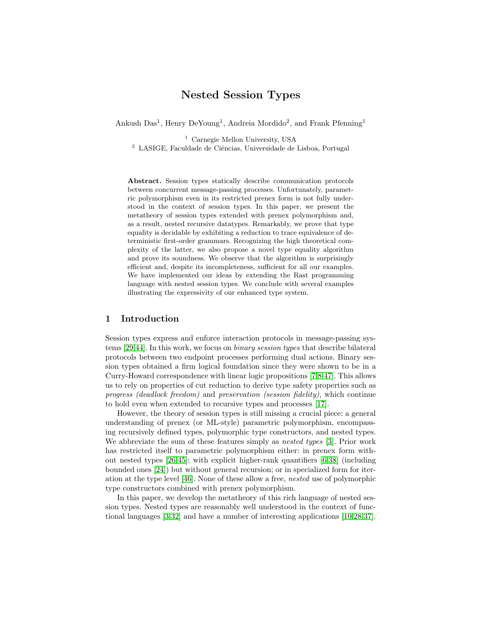# Nested Session Types

Ankush Das<sup>1</sup>, Henry DeYoung<sup>1</sup>, Andreia Mordido<sup>2</sup>, and Frank Pfenning<sup>1</sup>

<sup>1</sup> Carnegie Mellon University, USA

<sup>2</sup> LASIGE, Faculdade de Ciências, Universidade de Lisboa, Portugal

Abstract. Session types statically describe communication protocols between concurrent message-passing processes. Unfortunately, parametric polymorphism even in its restricted prenex form is not fully understood in the context of session types. In this paper, we present the metatheory of session types extended with prenex polymorphism and, as a result, nested recursive datatypes. Remarkably, we prove that type equality is decidable by exhibiting a reduction to trace equivalence of deterministic first-order grammars. Recognizing the high theoretical complexity of the latter, we also propose a novel type equality algorithm and prove its soundness. We observe that the algorithm is surprisingly efficient and, despite its incompleteness, sufficient for all our examples. We have implemented our ideas by extending the Rast programming language with nested session types. We conclude with several examples illustrating the expressivity of our enhanced type system.

## 1 Introduction

Session types express and enforce interaction protocols in message-passing systems [\[29](#page-26-0)[,44\]](#page-27-0). In this work, we focus on binary session types that describe bilateral protocols between two endpoint processes performing dual actions. Binary session types obtained a firm logical foundation since they were shown to be in a Curry-Howard correspondence with linear logic propositions [\[7,](#page-25-0)[8,](#page-25-1)[47\]](#page-27-1). This allows us to rely on properties of cut reduction to derive type safety properties such as progress (deadlock freedom) and preservation (session fidelity), which continue to hold even when extended to recursive types and processes [\[17\]](#page-26-1).

However, the theory of session types is still missing a crucial piece: a general understanding of prenex (or ML-style) parametric polymorphism, encompassing recursively defined types, polymorphic type constructors, and nested types. We abbreviate the sum of these features simply as *nested types* [\[3\]](#page-25-2). Prior work has restricted itself to parametric polymorphism either: in prenex form without nested types [\[26,](#page-26-2)[45\]](#page-27-2); with explicit higher-rank quantifiers [\[6,](#page-25-3)[38\]](#page-27-3) (including bounded ones [\[24\]](#page-26-3)) but without general recursion; or in specialized form for iteration at the type level [\[46\]](#page-27-4). None of these allow a free, nested use of polymorphic type constructors combined with prenex polymorphism.

In this paper, we develop the metatheory of this rich language of nested session types. Nested types are reasonably well understood in the context of functional languages [\[3,](#page-25-2)[32\]](#page-26-4) and have a number of interesting applications [\[10,](#page-25-4)[28,](#page-26-5)[37\]](#page-27-5).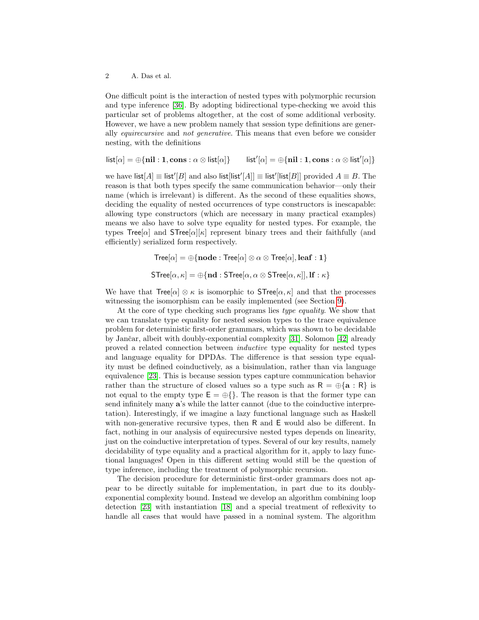One difficult point is the interaction of nested types with polymorphic recursion and type inference [\[36\]](#page-27-6). By adopting bidirectional type-checking we avoid this particular set of problems altogether, at the cost of some additional verbosity. However, we have a new problem namely that session type definitions are generally equirecursive and not generative. This means that even before we consider nesting, with the definitions

$$
list[\alpha] = \bigoplus \{ \mathbf{nil} : 1, \mathbf{cons} : \alpha \otimes \mathbf{list}[\alpha] \} \qquad \mathbf{list}'[\alpha] = \bigoplus \{ \mathbf{nil} : 1, \mathbf{cons} : \alpha \otimes \mathbf{list}'[\alpha] \}
$$

we have  $\textsf{list}[A] \equiv \textsf{list'}[B]$  and also  $\textsf{list}[\textsf{list'}[A]] \equiv \textsf{list'}[\textsf{list}[B]]$  provided  $A \equiv B$ . The reason is that both types specify the same communication behavior—only their name (which is irrelevant) is different. As the second of these equalities shows, deciding the equality of nested occurrences of type constructors is inescapable: allowing type constructors (which are necessary in many practical examples) means we also have to solve type equality for nested types. For example, the types  $Tree[\alpha]$  and  $STree[\alpha][\kappa]$  represent binary trees and their faithfully (and efficiently) serialized form respectively.

$$
\begin{aligned} \mathsf{Tree}[\alpha] = \oplus \{\mathbf{node}: \mathsf{Tree}[\alpha] \otimes \alpha \otimes \mathsf{Tree}[\alpha], \mathbf{leaf}:1\} \\ \mathsf{STree}[\alpha, \kappa] = \oplus \{\mathbf{nd}: \mathsf{STree}[\alpha, \alpha \otimes \mathsf{STree}[\alpha, \kappa]], \mathbf{If}: \kappa\} \end{aligned}
$$

We have that  $Tree[\alpha] \otimes \kappa$  is isomorphic to  $STree[\alpha, \kappa]$  and that the processes witnessing the isomorphism can be easily implemented (see Section [9\)](#page-21-0).

At the core of type checking such programs lies type equality. We show that we can translate type equality for nested session types to the trace equivalence problem for deterministic first-order grammars, which was shown to be decidable by Janˇcar, albeit with doubly-exponential complexity [\[31\]](#page-26-6). Solomon [\[42\]](#page-27-7) already proved a related connection between inductive type equality for nested types and language equality for DPDAs. The difference is that session type equality must be defined coinductively, as a bisimulation, rather than via language equivalence [\[23\]](#page-26-7). This is because session types capture communication behavior rather than the structure of closed values so a type such as  $R = \bigoplus \{a : R\}$  is not equal to the empty type  $E = \bigoplus \{\}.$  The reason is that the former type can send infinitely many a's while the latter cannot (due to the coinductive interpretation). Interestingly, if we imagine a lazy functional language such as Haskell with non-generative recursive types, then R and E would also be different. In fact, nothing in our analysis of equirecursive nested types depends on linearity, just on the coinductive interpretation of types. Several of our key results, namely decidability of type equality and a practical algorithm for it, apply to lazy functional languages! Open in this different setting would still be the question of type inference, including the treatment of polymorphic recursion.

The decision procedure for deterministic first-order grammars does not appear to be directly suitable for implementation, in part due to its doublyexponential complexity bound. Instead we develop an algorithm combining loop detection [\[23\]](#page-26-7) with instantiation [\[18\]](#page-26-8) and a special treatment of reflexivity to handle all cases that would have passed in a nominal system. The algorithm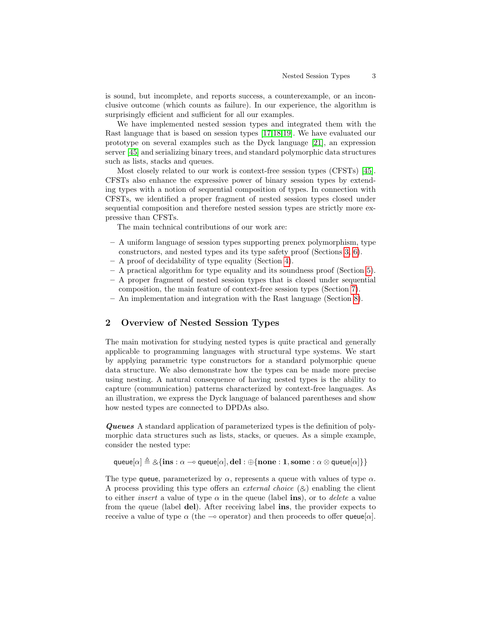is sound, but incomplete, and reports success, a counterexample, or an inconclusive outcome (which counts as failure). In our experience, the algorithm is surprisingly efficient and sufficient for all our examples.

We have implemented nested session types and integrated them with the Rast language that is based on session types [\[17](#page-26-1)[,18,](#page-26-8)[19\]](#page-26-9). We have evaluated our prototype on several examples such as the Dyck language [\[21\]](#page-26-10), an expression server [\[45\]](#page-27-2) and serializing binary trees, and standard polymorphic data structures such as lists, stacks and queues.

Most closely related to our work is context-free session types (CFSTs) [\[45\]](#page-27-2). CFSTs also enhance the expressive power of binary session types by extending types with a notion of sequential composition of types. In connection with CFSTs, we identified a proper fragment of nested session types closed under sequential composition and therefore nested session types are strictly more expressive than CFSTs.

The main technical contributions of our work are:

- A uniform language of session types supporting prenex polymorphism, type constructors, and nested types and its type safety proof (Sections [3,](#page-5-0) [6\)](#page-15-0).
- A proof of decidability of type equality (Section [4\)](#page-6-0).
- A practical algorithm for type equality and its soundness proof (Section [5\)](#page-11-0).
- A proper fragment of nested session types that is closed under sequential composition, the main feature of context-free session types (Section [7\)](#page-18-0).
- An implementation and integration with the Rast language (Section [8\)](#page-20-0).

## <span id="page-2-0"></span>2 Overview of Nested Session Types

The main motivation for studying nested types is quite practical and generally applicable to programming languages with structural type systems. We start by applying parametric type constructors for a standard polymorphic queue data structure. We also demonstrate how the types can be made more precise using nesting. A natural consequence of having nested types is the ability to capture (communication) patterns characterized by context-free languages. As an illustration, we express the Dyck language of balanced parentheses and show how nested types are connected to DPDAs also.

Queues A standard application of parameterized types is the definition of polymorphic data structures such as lists, stacks, or queues. As a simple example, consider the nested type:

queue $[\alpha] \triangleq \&\{\mathbf{ins} : \alpha \multimap \mathsf{queue}[\alpha], \mathbf{del} : \oplus \{\mathbf{none} : \mathbf{1}, \mathbf{some} : \alpha \otimes \mathsf{queue}[\alpha]\}\}\$ 

The type queue, parameterized by  $\alpha$ , represents a queue with values of type  $\alpha$ . A process providing this type offers an *external choice*  $(\&)$  enabling the client to either *insert* a value of type  $\alpha$  in the queue (label **ins**), or to *delete* a value from the queue (label del). After receiving label ins, the provider expects to receive a value of type  $\alpha$  (the  $\sim$  operator) and then proceeds to offer queue[ $\alpha$ ].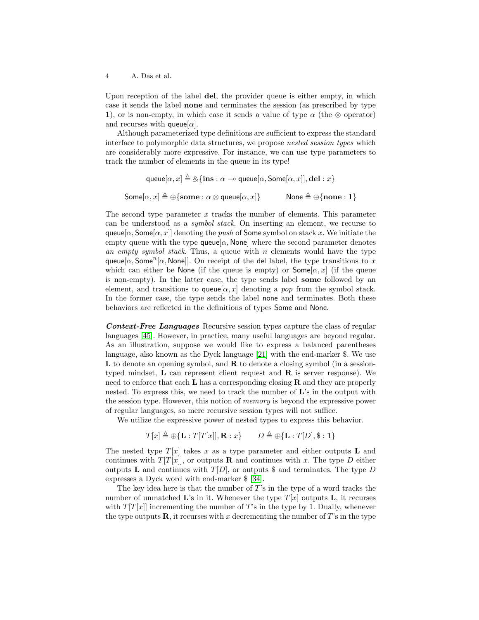Upon reception of the label **del**, the provider queue is either empty, in which case it sends the label none and terminates the session (as prescribed by type 1), or is non-empty, in which case it sends a value of type  $\alpha$  (the  $\otimes$  operator) and recurses with queue[ $\alpha$ ].

Although parameterized type definitions are sufficient to express the standard interface to polymorphic data structures, we propose nested session types which are considerably more expressive. For instance, we can use type parameters to track the number of elements in the queue in its type!

queue[ $\alpha$ ,  $x$ ]  $\triangleq$  & {**ins** :  $\alpha$   $\sim$  queue[ $\alpha$ , Some[ $\alpha$ , x]], **del** : x} Some $[\alpha, x] \triangleq \bigoplus \{ \text{some} : \alpha \otimes \text{queue}[\alpha, x] \}$  None  $\triangleq \bigoplus \{ \text{none} : 1 \}$ 

The second type parameter  $x$  tracks the number of elements. This parameter can be understood as a symbol stack. On inserting an element, we recurse to queue[ $\alpha$ , Some[ $\alpha$ , x]] denoting the *push* of Some symbol on stack x. We initiate the empty queue with the type queue[ $\alpha$ , None] where the second parameter denotes an empty symbol stack. Thus, a queue with n elements would have the type queue[ $\alpha$ , Some<sup>n</sup>[ $\alpha$ , None]]. On receipt of the del label, the type transitions to x which can either be None (if the queue is empty) or  $\mathsf{Some}[\alpha, x]$  (if the queue is non-empty). In the latter case, the type sends label some followed by an element, and transitions to queue[ $\alpha$ , x] denoting a pop from the symbol stack. In the former case, the type sends the label none and terminates. Both these behaviors are reflected in the definitions of types Some and None.

Context-Free Languages Recursive session types capture the class of regular languages [\[45\]](#page-27-2). However, in practice, many useful languages are beyond regular. As an illustration, suppose we would like to express a balanced parentheses language, also known as the Dyck language [\[21\]](#page-26-10) with the end-marker \$. We use  **to denote an opening symbol, and**  $**R**$  **to denote a closing symbol (in a session**typed mindset,  $\bf{L}$  can represent client request and  $\bf{R}$  is server response). We need to enforce that each L has a corresponding closing R and they are properly nested. To express this, we need to track the number of L's in the output with the session type. However, this notion of memory is beyond the expressive power of regular languages, so mere recursive session types will not suffice.

We utilize the expressive power of nested types to express this behavior.

$$
T[x] \triangleq \bigoplus \{ \mathbf{L} : T[T[x]], \mathbf{R} : x \} \qquad D \triangleq \bigoplus \{ \mathbf{L} : T[D], \$ : 1 \}
$$

The nested type  $T[x]$  takes x as a type parameter and either outputs L and continues with  $T[T[x]]$ , or outputs **R** and continues with x. The type D either outputs **L** and continues with  $T[D]$ , or outputs \$ and terminates. The type D expresses a Dyck word with end-marker \$ [\[34\]](#page-27-8).

The key idea here is that the number of T's in the type of a word tracks the number of unmatched L's in it. Whenever the type  $T[x]$  outputs L, it recurses with  $T[T[x]]$  incrementing the number of T's in the type by 1. Dually, whenever the type outputs  $\mathbf{R}$ , it recurses with x decrementing the number of T's in the type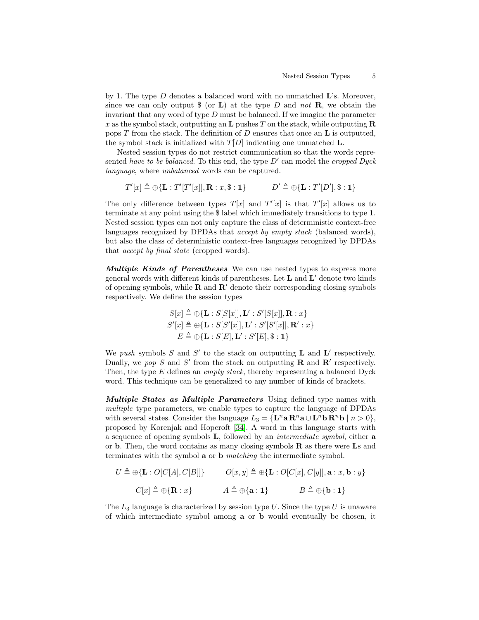by 1. The type  $D$  denotes a balanced word with no unmatched  $\mathbf{L}$ 's. Moreover, since we can only output  $\text{\$ (or L) at the type } D \text{ and not } \textbf{R},$  we obtain the invariant that any word of type  $D$  must be balanced. If we imagine the parameter x as the symbol stack, outputting an  $\bf{L}$  pushes T on the stack, while outputting  $\bf{R}$ pops  $T$  from the stack. The definition of  $D$  ensures that once an  $L$  is outputted, the symbol stack is initialized with  $T[D]$  indicating one unmatched **L**.

Nested session types do not restrict communication so that the words represented have to be balanced. To this end, the type  $D'$  can model the cropped Dyck language, where unbalanced words can be captured.

$$
T'[x] \triangleq \bigoplus \{\mathbf{L} : T'[T'[x]], \mathbf{R} : x, \$: \mathbf{1}\} \qquad D' \triangleq \bigoplus \{\mathbf{L} : T'[D'], \$: \mathbf{1}\}\
$$

The only difference between types  $T[x]$  and  $T'[x]$  is that  $T'[x]$  allows us to terminate at any point using the \$ label which immediately transitions to type 1. Nested session types can not only capture the class of deterministic context-free languages recognized by DPDAs that *accept by empty stack* (balanced words), but also the class of deterministic context-free languages recognized by DPDAs that accept by final state (cropped words).

Multiple Kinds of Parentheses We can use nested types to express more general words with different kinds of parentheses. Let  $L$  and  $L'$  denote two kinds of opening symbols, while  $\bf{R}$  and  $\bf{R}'$  denote their corresponding closing symbols respectively. We define the session types

$$
S[x] \triangleq \bigoplus \{ \mathbf{L} : S[S[x]], \mathbf{L}' : S'[S[x]], \mathbf{R} : x \}
$$
  

$$
S'[x] \triangleq \bigoplus \{ \mathbf{L} : S[S'[x]], \mathbf{L}' : S'[S'[x]], \mathbf{R}' : x \}
$$
  

$$
E \triangleq \bigoplus \{ \mathbf{L} : S[E], \mathbf{L}' : S'[E], \$ : 1 \}
$$

We push symbols S and S' to the stack on outputting **L** and  $\mathbf{L}'$  respectively. Dually, we pop S and S' from the stack on outputting  $\bf{R}$  and  $\bf{R}'$  respectively. Then, the type E defines an *empty stack*, thereby representing a balanced Dyck word. This technique can be generalized to any number of kinds of brackets.

Multiple States as Multiple Parameters Using defined type names with multiple type parameters, we enable types to capture the language of DPDAs with several states. Consider the language  $L_3 = \{ \mathbf{L}^n \mathbf{a} \mathbf{R}^n \mathbf{a} \cup \mathbf{L}^n \mathbf{b} \mathbf{R}^n \mathbf{b} \mid n > 0 \},\$ proposed by Korenjak and Hopcroft [\[34\]](#page-27-8). A word in this language starts with a sequence of opening symbols L, followed by an intermediate symbol, either a or **b**. Then, the word contains as many closing symbols  $\bf{R}$  as there were  $\bf{L}$ s and terminates with the symbol a or b matching the intermediate symbol.

$$
U \triangleq \bigoplus \{ \mathbf{L} : O[C[A], C[B]] \} \qquad O[x, y] \triangleq \bigoplus \{ \mathbf{L} : O[C[x], C[y]], \mathbf{a} : x, \mathbf{b} : y \}
$$

$$
C[x] \triangleq \bigoplus \{ \mathbf{R} : x \} \qquad A \triangleq \bigoplus \{ \mathbf{a} : \mathbf{1} \} \qquad B \triangleq \bigoplus \{ \mathbf{b} : \mathbf{1} \}
$$

The  $L_3$  language is characterized by session type U. Since the type U is unaware of which intermediate symbol among a or b would eventually be chosen, it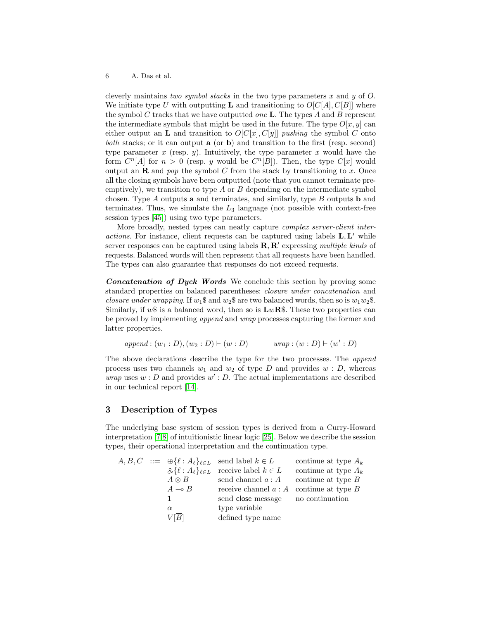cleverly maintains two symbol stacks in the two type parameters x and y of O. We initiate type U with outputting **L** and transitioning to  $O[C[A], C[B]]$  where the symbol C tracks that we have outputted one **L**. The types A and B represent the intermediate symbols that might be used in the future. The type  $O[x, y]$  can either output an **L** and transition to  $O[C[x], C[y]]$  *pushing* the symbol C onto both stacks; or it can output  $\bf{a}$  (or  $\bf{b}$ ) and transition to the first (resp. second) type parameter x (resp. y). Intuitively, the type parameter x would have the form  $C^n[A]$  for  $n > 0$  (resp. y would be  $C^n[B]$ ). Then, the type  $C[x]$  would output an **R** and pop the symbol C from the stack by transitioning to x. Once all the closing symbols have been outputted (note that you cannot terminate preemptively), we transition to type  $A$  or  $B$  depending on the intermediate symbol chosen. Type  $A$  outputs **a** and terminates, and similarly, type  $B$  outputs **b** and terminates. Thus, we simulate the  $L_3$  language (not possible with context-free session types [\[45\]](#page-27-2)) using two type parameters.

More broadly, nested types can neatly capture *complex server-client inter*actions. For instance, client requests can be captured using labels  $L, L'$  while server responses can be captured using labels  $\mathbf{R}, \mathbf{R}'$  expressing multiple kinds of requests. Balanced words will then represent that all requests have been handled. The types can also guarantee that responses do not exceed requests.

Concatenation of Dyck Words We conclude this section by proving some standard properties on balanced parentheses: closure under concatenation and closure under wrapping. If  $w_1$ \$ and  $w_2$ \$ are two balanced words, then so is  $w_1w_2$ \$. Similarly, if  $w\$  is a balanced word, then so is  $\mathbf{L}w\mathbf{R}\$ . These two properties can be proved by implementing append and wrap processes capturing the former and latter properties.

 $append: (w_1 : D), (w_2 : D) \vdash (w : D)$  $\prime$ : D)

The above declarations describe the type for the two processes. The append process uses two channels  $w_1$  and  $w_2$  of type D and provides  $w : D$ , whereas *wrap* uses  $w: D$  and provides  $w': D$ . The actual implementations are described in our technical report [\[14\]](#page-25-5).

## <span id="page-5-0"></span>3 Description of Types

The underlying base system of session types is derived from a Curry-Howard interpretation [\[7,](#page-25-0)[8\]](#page-25-1) of intuitionistic linear logic [\[25\]](#page-26-11). Below we describe the session types, their operational interpretation and the continuation type.

$$
\begin{array}{rcll} A,B,C & ::= & \oplus \{\ell : A_\ell\}_{\ell \in L} & \text{send label } k \in L & \text{continue at type } A_k \\ & & & \& \{\ell : A_\ell\}_{\ell \in L} & \text{receive label } k \in L & \text{continue at type } A_k \\ & & & A \otimes B & \text{send channel } a : A & \text{continue at type } B \\ & & & A \multimap B & \text{receive channel } a : A & \text{continue at type } B \\ & & & 1 & \text{send close message} & \text{no continuation} \\ & & & & \& \hspace{15em} \mid \hspace{15em} \alpha & \text{type variable} \\ & & & & \downarrow \text{define} \end{array}
$$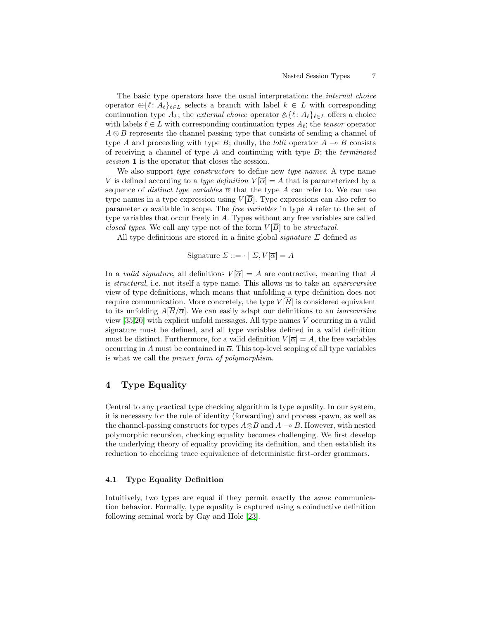The basic type operators have the usual interpretation: the internal choice operator  $\bigoplus \{\ell : A_{\ell}\}_{\ell \in L}$  selects a branch with label  $k \in L$  with corresponding continuation type  $A_k$ ; the *external choice* operator  $\&\{\ell : A_\ell\}_{\ell \in L}$  offers a choice with labels  $\ell \in L$  with corresponding continuation types  $A_{\ell}$ ; the tensor operator  $A \otimes B$  represents the channel passing type that consists of sending a channel of type A and proceeding with type B; dually, the *lolli* operator  $A \rightarrow B$  consists of receiving a channel of type  $A$  and continuing with type  $B$ ; the terminated session 1 is the operator that closes the session.

We also support *type constructors* to define new *type names*. A type name V is defined according to a type definition  $V[\overline{\alpha}] = A$  that is parameterized by a sequence of *distinct type variables*  $\bar{\alpha}$  that the type A can refer to. We can use type names in a type expression using  $V[\overline{B}]$ . Type expressions can also refer to parameter  $\alpha$  available in scope. The *free variables* in type A refer to the set of type variables that occur freely in A. Types without any free variables are called closed types. We call any type not of the form  $V[\overline{B}]$  to be structural.

All type definitions are stored in a finite global *signature*  $\Sigma$  defined as

$$
Signature \ \Sigma ::= \cdot \mid \Sigma, V[\overline{\alpha}] = A
$$

In a valid signature, all definitions  $V[\overline{\alpha}] = A$  are contractive, meaning that A is structural, i.e. not itself a type name. This allows us to take an equirecursive view of type definitions, which means that unfolding a type definition does not require communication. More concretely, the type  $V[\overline{B}]$  is considered equivalent to its unfolding  $A[\overline{B}/\overline{\alpha}]$ . We can easily adapt our definitions to an *isorecursive* view [\[35,](#page-27-9)[20\]](#page-26-12) with explicit unfold messages. All type names V occurring in a valid signature must be defined, and all type variables defined in a valid definition must be distinct. Furthermore, for a valid definition  $V[\overline{\alpha}] = A$ , the free variables occurring in A must be contained in  $\overline{\alpha}$ . This top-level scoping of all type variables is what we call the prenex form of polymorphism.

## <span id="page-6-0"></span>4 Type Equality

Central to any practical type checking algorithm is type equality. In our system, it is necessary for the rule of identity (forwarding) and process spawn, as well as the channel-passing constructs for types  $A\otimes B$  and  $A\multimap B$ . However, with nested polymorphic recursion, checking equality becomes challenging. We first develop the underlying theory of equality providing its definition, and then establish its reduction to checking trace equivalence of deterministic first-order grammars.

### 4.1 Type Equality Definition

Intuitively, two types are equal if they permit exactly the *same* communication behavior. Formally, type equality is captured using a coinductive definition following seminal work by Gay and Hole [\[23\]](#page-26-7).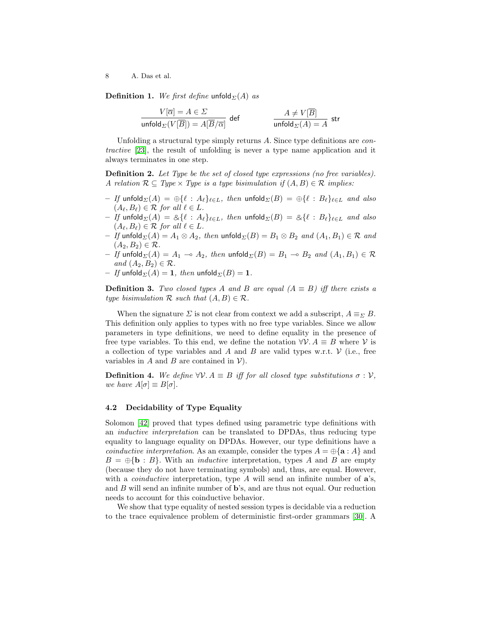**Definition 1.** We first define unfold  $\Sigma(A)$  as

$$
\frac{V[\overline{\alpha}] = A \in \Sigma}{\text{unfold}_{\Sigma}(V[\overline{B}]) = A[\overline{B}/\overline{\alpha}]} \text{ def } \qquad \frac{A \neq V[\overline{B}]}{\text{unfold}_{\Sigma}(A) = A} \text{ str}
$$

Unfolding a structural type simply returns  $\tilde{A}$ . Since type definitions are *con*tractive [\[23\]](#page-26-7), the result of unfolding is never a type name application and it always terminates in one step.

**Definition 2.** Let Type be the set of closed type expressions (no free variables). A relation  $\mathcal{R} \subseteq Type \times Type$  is a type bisimulation if  $(A, B) \in \mathcal{R}$  implies:

- $-If$  unfold $_{\Sigma}(A) = \bigoplus \{ \ell : A_{\ell} \}_{\ell \in L}$ , then unfold $_{\Sigma}(B) = \bigoplus \{ \ell : B_{\ell} \}_{\ell \in L}$  and also  $(A_{\ell}, B_{\ell}) \in \mathcal{R}$  for all  $\ell \in L$ .
- $-If$  unfold $_{\Sigma}(A) = \&\{\ell : A_{\ell}\}_{\ell \in L}$ , then unfold $_{\Sigma}(B) = \&\{\ell : B_{\ell}\}_{\ell \in L}$  and also  $(A_{\ell}, B_{\ell}) \in \mathcal{R}$  for all  $\ell \in L$ .
- $-$  If unfold $\Gamma_A(A)=A_1\otimes A_2$ , then unfold $\Gamma_B(B)=B_1\otimes B_2$  and  $(A_1,B_1)\in \mathcal{R}$  and  $(A_2, B_2) \in \mathcal{R}$ .
- $-$  If unfold $\varSigma(A) = A_1 \multimap A_2$ , then unfold $\varSigma(B) = B_1 \multimap B_2$  and  $(A_1, B_1) \in \mathcal{R}$ and  $(A_2, B_2) \in \mathcal{R}$ .
- $-I$ f unfold $\overline{\Sigma}(A) = 1$ , then unfold $\overline{\Sigma}(B) = 1$ .

**Definition 3.** Two closed types A and B are equal  $(A \equiv B)$  iff there exists a type bisimulation  $\mathcal R$  such that  $(A, B) \in \mathcal R$ .

When the signature  $\Sigma$  is not clear from context we add a subscript,  $A \equiv_{\Sigma} B$ . This definition only applies to types with no free type variables. Since we allow parameters in type definitions, we need to define equality in the presence of free type variables. To this end, we define the notation  $\forall V. A \equiv B$  where V is a collection of type variables and A and B are valid types w.r.t.  $\mathcal V$  (i.e., free variables in  $A$  and  $B$  are contained in  $V$ ).

<span id="page-7-0"></span>**Definition 4.** We define  $\forall V. A \equiv B$  iff for all closed type substitutions  $\sigma : V$ , we have  $A[\sigma] \equiv B[\sigma]$ .

#### 4.2 Decidability of Type Equality

Solomon [\[42\]](#page-27-7) proved that types defined using parametric type definitions with an inductive interpretation can be translated to DPDAs, thus reducing type equality to language equality on DPDAs. However, our type definitions have a *coinductive interpretation.* As an example, consider the types  $A = \bigoplus \{a : A\}$  and  $B = \bigoplus \{\mathbf{b} : B\}$ . With an *inductive* interpretation, types A and B are empty (because they do not have terminating symbols) and, thus, are equal. However, with a *coinductive* interpretation, type A will send an infinite number of  $\mathbf{a}$ 's, and  $B$  will send an infinite number of  $\mathbf{b}'s$ , and are thus not equal. Our reduction needs to account for this coinductive behavior.

We show that type equality of nested session types is decidable via a reduction to the trace equivalence problem of deterministic first-order grammars [\[30\]](#page-26-13). A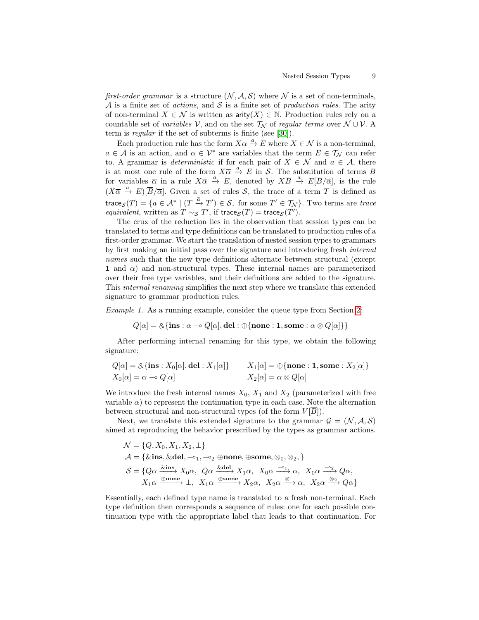first-order grammar is a structure  $(N, \mathcal{A}, \mathcal{S})$  where N is a set of non-terminals, A is a finite set of actions, and S is a finite set of production rules. The arity of non-terminal  $X \in \mathcal{N}$  is written as arity $(X) \in \mathbb{N}$ . Production rules rely on a countable set of variables V, and on the set  $\mathcal{T}_{\mathcal{N}}$  of regular terms over  $\mathcal{N} \cup \mathcal{V}$ . A term is regular if the set of subterms is finite (see [\[30\]](#page-26-13)).

Each production rule has the form  $X\overline{\alpha} \stackrel{a}{\rightarrow} E$  where  $X \in \mathcal{N}$  is a non-terminal,  $a \in \mathcal{A}$  is an action, and  $\overline{\alpha} \in \mathcal{V}^*$  are variables that the term  $E \in \mathcal{T}_{\mathcal{N}}$  can refer to. A grammar is *deterministic* if for each pair of  $X \in \mathcal{N}$  and  $a \in \mathcal{A}$ , there is at most one rule of the form  $X\overline{\alpha} \stackrel{a}{\rightarrow} E$  in S. The substitution of terms  $\overline{B}$ for variables  $\overline{\alpha}$  in a rule  $X\overline{\alpha} \stackrel{a}{\rightarrow} E$ , denoted by  $X\overline{B} \stackrel{a}{\rightarrow} E[\overline{B}/\overline{\alpha}]$ , is the rule  $(X\overline{\alpha} \stackrel{a}{\rightarrow} E)[\overline{B}/\overline{\alpha}]$ . Given a set of rules S, the trace of a term T is defined as trace ${}_{\mathcal{S}}(T)=\{\overline{a}\in\mathcal{A}^*\mid(T\stackrel{\overline{a}}{\to}T')\in\mathcal{S},\text{ for some }T'\in\mathcal{T}_{\mathcal{N}}\}.$  Two terms are  $\textit{trace}$ *equivalent*, written as  $T \sim_S T'$ , if trace<sub>S</sub> $(T)$  = trace<sub>S</sub> $(T')$ .

The crux of the reduction lies in the observation that session types can be translated to terms and type definitions can be translated to production rules of a first-order grammar. We start the translation of nested session types to grammars by first making an initial pass over the signature and introducing fresh internal names such that the new type definitions alternate between structural (except 1 and  $\alpha$ ) and non-structural types. These internal names are parameterized over their free type variables, and their definitions are added to the signature. This *internal renaming* simplifies the next step where we translate this extended signature to grammar production rules.

Example 1. As a running example, consider the queue type from Section [2:](#page-2-0)

<span id="page-8-0"></span>
$$
Q[\alpha] = \& \{ \textbf{ins} : \alpha \multimap Q[\alpha], \textbf{del} : \oplus \{ \textbf{none} : \textbf{1}, \textbf{some} : \alpha \otimes Q[\alpha] \} \}
$$

After performing internal renaming for this type, we obtain the following signature:

$$
Q[\alpha] = \&{\text{{ins}} : X_0[\alpha], \text{{del}} : X_1[\alpha]} \qquad X_1[\alpha] = \bigoplus{\text{{\bf none}} : 1, \text{{\bf some}} : X_2[\alpha]} \}
$$
  

$$
X_0[\alpha] = \alpha \multimap Q[\alpha] \qquad X_2[\alpha] = \alpha \otimes Q[\alpha]
$$

We introduce the fresh internal names  $X_0$ ,  $X_1$  and  $X_2$  (parameterized with free variable  $\alpha$ ) to represent the continuation type in each case. Note the alternation between structural and non-structural types (of the form  $V[\overline{B}])$ .

Next, we translate this extended signature to the grammar  $\mathcal{G} = (\mathcal{N}, \mathcal{A}, \mathcal{S})$ aimed at reproducing the behavior prescribed by the types as grammar actions.

$$
\mathcal{N} = \{Q, X_0, X_1, X_2, \perp\}
$$
\n
$$
\mathcal{A} = \{\&\text{ins, }\&\text{del}, -\circ_1, -\circ_2 \oplus \text{none}, \oplus \text{some}, \otimes_1, \otimes_2, \}
$$
\n
$$
\mathcal{S} = \{Q\alpha \xrightarrow{\&\text{ins}} X_0\alpha, \ Q\alpha \xrightarrow{\&\text{del}} X_1\alpha, \ X_0\alpha \xrightarrow{-\circ_1} \alpha, \ X_0\alpha \xrightarrow{-\circ_2} Q\alpha, \ X_1\alpha \xrightarrow{\oplus \text{some}} \underline{\alpha}, \ X_2\alpha, \ X_2\alpha \xrightarrow{\otimes_1} \alpha, \ X_2\alpha \xrightarrow{\otimes_2} Q\alpha\}
$$

Essentially, each defined type name is translated to a fresh non-terminal. Each type definition then corresponds a sequence of rules: one for each possible continuation type with the appropriate label that leads to that continuation. For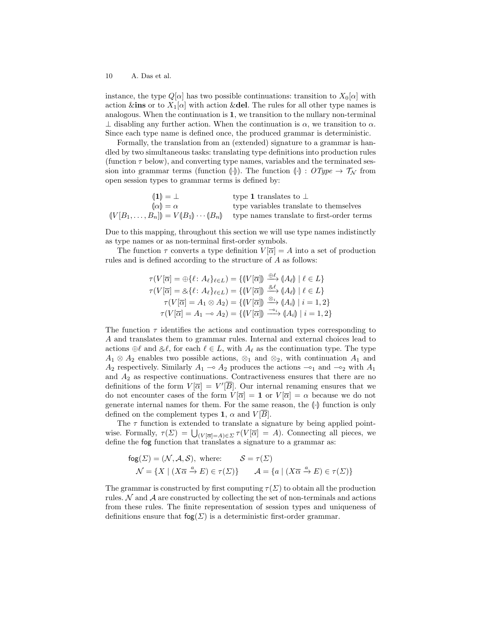instance, the type  $Q[\alpha]$  has two possible continuations: transition to  $X_0[\alpha]$  with action &ins or to  $X_1[\alpha]$  with action &del. The rules for all other type names is analogous. When the continuation is 1, we transition to the nullary non-terminal  $\perp$  disabling any further action. When the continuation is  $\alpha$ , we transition to  $\alpha$ . Since each type name is defined once, the produced grammar is deterministic.

Formally, the translation from an (extended) signature to a grammar is handled by two simultaneous tasks: translating type definitions into production rules (function  $\tau$  below), and converting type names, variables and the terminated session into grammar terms (function  $\langle \cdot \rangle$ ). The function  $\langle \cdot \rangle$  :  $OType \rightarrow \mathcal{T}_N$  from open session types to grammar terms is defined by:

 $\text{(1)} = \perp$  type 1 translates to ⊥<br> $\text{true}$  type 1 translates to ⊥  $\llbracket \alpha \rrbracket = \alpha$  type variables translate to themselves  $\langle V[B_1, \ldots, B_n] \rangle = V(B_1) \cdots (B_n)$  type names translate to first-order terms

Due to this mapping, throughout this section we will use type names indistinctly as type names or as non-terminal first-order symbols.

The function  $\tau$  converts a type definition  $V[\overline{\alpha}] = A$  into a set of production rules and is defined according to the structure of A as follows:

$$
\tau(V[\overline{\alpha}] = \bigoplus \{\ell \colon A_{\ell}\}_{\ell \in L}\} = \{ (V[\overline{\alpha}]) \xrightarrow{\oplus \ell} (A_{\ell}) \mid \ell \in L \}
$$

$$
\tau(V[\overline{\alpha}] = \bigotimes \{\ell \colon A_{\ell}\}_{\ell \in L}\} = \{ (V[\overline{\alpha}]) \xrightarrow{\otimes \ell} (A_{\ell}) \mid \ell \in L \}
$$

$$
\tau(V[\overline{\alpha}] = A_1 \otimes A_2) = \{ (V[\overline{\alpha}]) \xrightarrow{\otimes_i} (A_i) \mid i = 1, 2 \}
$$

$$
\tau(V[\overline{\alpha}] = A_1 \rightarrow A_2) = \{ (V[\overline{\alpha}]) \xrightarrow{\neg i} (A_i) \mid i = 1, 2 \}
$$

The function  $\tau$  identifies the actions and continuation types corresponding to A and translates them to grammar rules. Internal and external choices lead to actions  $\oplus \ell$  and  $\& \ell$ , for each  $\ell \in L$ , with  $A_{\ell}$  as the continuation type. The type  $A_1 \otimes A_2$  enables two possible actions,  $\otimes_1$  and  $\otimes_2$ , with continuation  $A_1$  and  $A_2$  respectively. Similarly  $A_1 \multimap A_2$  produces the actions  $\multimap_1$  and  $\multimap_2$  with  $A_1$ and  $A_2$  as respective continuations. Contractiveness ensures that there are no definitions of the form  $V[\overline{\alpha}] = V'[\overline{B}]$ . Our internal renaming ensures that we do not encounter cases of the form  $V[\overline{\alpha}] = 1$  or  $V[\overline{\alpha}] = \alpha$  because we do not generate internal names for them. For the same reason, the  $\left\|\cdot\right\|$  function is only defined on the complement types 1,  $\alpha$  and  $V[B]$ .

The  $\tau$  function is extended to translate a signature by being applied pointwise. Formally,  $\tau(\Sigma) = \bigcup_{(V[\overline{\alpha}]=A)\in\Sigma} \tau(V[\overline{\alpha}] = A)$ . Connecting all pieces, we define the fog function that translates a signature to a grammar as:

$$
\begin{aligned} \text{fog}(\Sigma) &= (\mathcal{N}, \mathcal{A}, \mathcal{S}), \text{ where:} & \mathcal{S} = \tau(\Sigma) \\ \mathcal{N} &= \{ X \mid (\bar{X}\overline{\alpha} \xrightarrow{\alpha} E) \in \tau(\Sigma) \} & \mathcal{A} = \{ a \mid (\bar{X}\overline{\alpha} \xrightarrow{\alpha} E) \in \tau(\Sigma) \} \end{aligned}
$$

The grammar is constructed by first computing  $\tau(\Sigma)$  to obtain all the production rules.  $N$  and  $\mathcal A$  are constructed by collecting the set of non-terminals and actions from these rules. The finite representation of session types and uniqueness of definitions ensure that  $f \circ g(\Sigma)$  is a deterministic first-order grammar.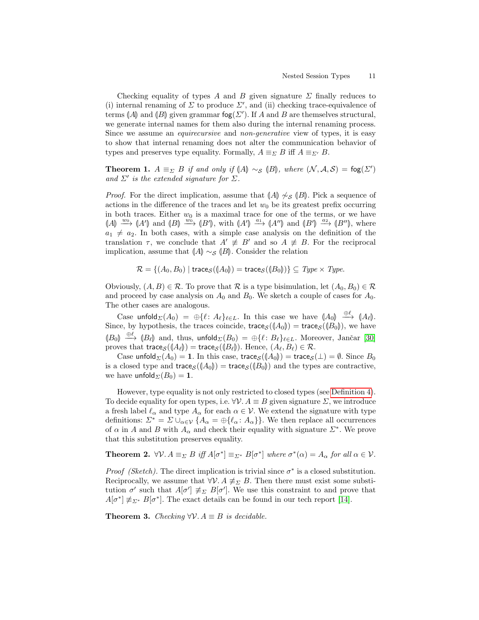Checking equality of types A and B given signature  $\Sigma$  finally reduces to (i) internal renaming of  $\Sigma$  to produce  $\Sigma'$ , and (ii) checking trace-equivalence of terms  $(A)$  and  $(B)$  given grammar fog( $\Sigma'$ ). If A and B are themselves structural, we generate internal names for them also during the internal renaming process. Since we assume an *equirecursive* and *non-generative* view of types, it is easy to show that internal renaming does not alter the communication behavior of types and preserves type equality. Formally,  $A \equiv_{\Sigma} B$  iff  $A \equiv_{\Sigma'} B$ .

<span id="page-10-1"></span>**Theorem 1.**  $A \equiv_{\Sigma} B$  if and only if  $|A| \sim_{\mathcal{S}} (|B|)$ , where  $(\mathcal{N}, \mathcal{A}, \mathcal{S}) = \text{fog}(\Sigma')$ <br>and  $\overline{\mathcal{N}}'$  is the extended eigenture for  $\overline{\mathcal{N}}$ and  $\Sigma'$  is the extended signature for  $\Sigma$ .

*Proof.* For the direct implication, assume that  $\langle A \rangle \sim_{\mathcal{S}} \langle B \rangle$ . Pick a sequence of actions in the difference of the traces and let  $w_0$  be its greatest prefix occurring in both traces. Either  $w_0$  is a maximal trace for one of the terms, or we have  $(A) \xrightarrow{w_0} (A')$  and  $(B) \xrightarrow{w_0} (B')$ , with  $(A') \xrightarrow{a_1} (A'')$  and  $(B') \xrightarrow{a_2} (B'')$ , where  $a_1 \neq a_2$ . In both cases, with a simple case analysis on the definition of the translation  $\tau$ , we conclude that  $A' \neq B'$  and so  $A \neq B$ . For the reciprocal implication, assume that  $\Lambda \to S$   $\mathcal{B}$ . Consider the relation

$$
\mathcal{R} = \{ (A_0, B_0) \mid \text{trace}_{\mathcal{S}}(\langle A_0 \rangle) = \text{trace}_{\mathcal{S}}(\langle B_0 \rangle) \} \subseteq \text{Type} \times \text{Type}.
$$

Obviously,  $(A, B) \in \mathcal{R}$ . To prove that  $\mathcal R$  is a type bisimulation, let  $(A_0, B_0) \in \mathcal{R}$ and proceed by case analysis on  $A_0$  and  $B_0$ . We sketch a couple of cases for  $A_0$ . The other cases are analogous.

Case unfold  $\mathcal{L}(A_0) = \bigoplus \{ \ell : A_\ell \}_{\ell \in L}$ . In this case we have  $(A_0) \xrightarrow{\oplus \ell} (A_\ell)$ . Since, by hypothesis, the traces coincide,  $trace_S(\Vert A_0 \Vert) = trace_S(\Vert B_0 \Vert)$ , we have  $(B_0) \stackrel{\oplus \ell}{\longrightarrow} (B_\ell)$  and, thus, unfold  $\Sigma(B_0) = \bigoplus \{\ell : B_\ell\}_{\ell \in L}$ . Moreover, Jančar [\[30\]](#page-26-13) proves that trace<sub>S</sub> ( $(A_\ell)$ ) = trace<sub>S</sub> ( $(B_\ell)$ ). Hence,  $(A_\ell, B_\ell) \in \mathcal{R}$ .

Case unfold  $\Gamma(A_0) = 1$ . In this case, trace  $\Gamma(A_0|) = \text{trace}_{S}(\bot) = \emptyset$ . Since  $B_0$ is a closed type and trace<sub>S</sub>( $(\vert A_0 \vert)$ ) = trace<sub>S</sub>( $(\vert B_0 \vert)$ ) and the types are contractive, we have unfold  $\mathcal{L}(B_0) = 1$ .

However, type equality is not only restricted to closed types (see [Definition 4\)](#page-7-0). To decide equality for open types, i.e.  $\forall V. A \equiv B$  given signature  $\Sigma$ , we introduce a fresh label  $\ell_{\alpha}$  and type  $A_{\alpha}$  for each  $\alpha \in \mathcal{V}$ . We extend the signature with type definitions:  $\Sigma^* = \Sigma \cup_{\alpha \in \mathcal{V}} \{A_\alpha = \bigoplus \{\ell_\alpha : A_\alpha\}\}\.$  We then replace all occurrences of  $\alpha$  in A and B with  $A_{\alpha}$  and check their equality with signature  $\Sigma^*$ . We prove that this substitution preserves equality.

## <span id="page-10-0"></span>**Theorem 2.**  $\forall V. A \equiv_{\Sigma} B \text{ iff } A[\sigma^*] \equiv_{\Sigma^*} B[\sigma^*]$  where  $\sigma^*(\alpha) = A_{\alpha}$  for all  $\alpha \in V$ .

*Proof (Sketch)*. The direct implication is trivial since  $\sigma^*$  is a closed substitution. Reciprocally, we assume that  $\forall V. A \not\equiv_{\Sigma} B$ . Then there must exist some substitution  $\sigma'$  such that  $A[\sigma'] \not\equiv_{\Sigma} B[\sigma']$ . We use this constraint to and prove that  $A[\sigma^*] \not\equiv_{\Sigma^*} B[\sigma^*]$ . The exact details can be found in our tech report [\[14\]](#page-25-5).

**Theorem 3.** Checking  $\forall V. A \equiv B$  is decidable.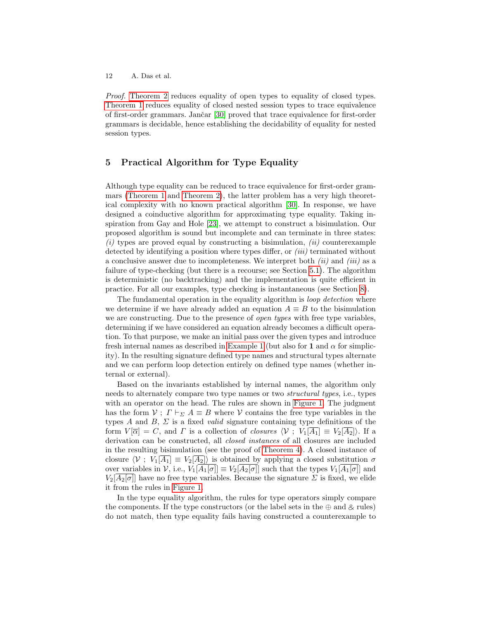Proof. [Theorem 2](#page-10-0) reduces equality of open types to equality of closed types. [Theorem 1](#page-10-1) reduces equality of closed nested session types to trace equivalence of first-order grammars. Janˇcar [\[30\]](#page-26-13) proved that trace equivalence for first-order grammars is decidable, hence establishing the decidability of equality for nested session types.

### <span id="page-11-0"></span>5 Practical Algorithm for Type Equality

Although type equality can be reduced to trace equivalence for first-order grammars [\(Theorem 1](#page-10-1) and [Theorem 2\)](#page-10-0), the latter problem has a very high theoretical complexity with no known practical algorithm [\[30\]](#page-26-13). In response, we have designed a coinductive algorithm for approximating type equality. Taking inspiration from Gay and Hole [\[23\]](#page-26-7), we attempt to construct a bisimulation. Our proposed algorithm is sound but incomplete and can terminate in three states:  $(i)$  types are proved equal by constructing a bisimulation,  $(ii)$  counterexample detected by identifying a position where types differ, or *(iii)* terminated without a conclusive answer due to incompleteness. We interpret both  $(ii)$  and  $(iii)$  as a failure of type-checking (but there is a recourse; see Section [5.1\)](#page-14-0). The algorithm is deterministic (no backtracking) and the implementation is quite efficient in practice. For all our examples, type checking is instantaneous (see Section [8\)](#page-20-0).

The fundamental operation in the equality algorithm is *loop detection* where we determine if we have already added an equation  $A \equiv B$  to the bisimulation we are constructing. Due to the presence of *open types* with free type variables, determining if we have considered an equation already becomes a difficult operation. To that purpose, we make an initial pass over the given types and introduce fresh internal names as described in [Example 1](#page-8-0) (but also for 1 and  $\alpha$  for simplicity). In the resulting signature defined type names and structural types alternate and we can perform loop detection entirely on defined type names (whether internal or external).

Based on the invariants established by internal names, the algorithm only needs to alternately compare two type names or two structural types, i.e., types with an operator on the head. The rules are shown in [Figure 1.](#page-12-0) The judgment has the form  $V$ ;  $\Gamma \vdash_{\Sigma} A \equiv B$  where V contains the free type variables in the types A and B,  $\Sigma$  is a fixed *valid* signature containing type definitions of the form  $V[\overline{\alpha}] = C$ , and  $\Gamma$  is a collection of *closures*  $\langle V ; V_1[\overline{A_1}] \equiv V_2[\overline{A_2}] \rangle$ . If a derivation can be constructed, all *closed instances* of all closures are included in the resulting bisimulation (see the proof of [Theorem 4\)](#page-13-0). A closed instance of closure  $\langle V ; V_1[A_1] \equiv V_2[A_2] \rangle$  is obtained by applying a closed substitution  $\sigma$ over variables in  $V$ , i.e.,  $V_1[\overline{A_1[\sigma]}] \equiv V_2[\overline{A_2[\sigma]}]$  such that the types  $V_1[\overline{A_1[\sigma]}]$  and  $V_2[A_2[\sigma]]$  have no free type variables. Because the signature  $\Sigma$  is fixed, we elide it from the rules in [Figure 1.](#page-12-0)

In the type equality algorithm, the rules for type operators simply compare the components. If the type constructors (or the label sets in the  $\oplus$  and  $\otimes$  rules) do not match, then type equality fails having constructed a counterexample to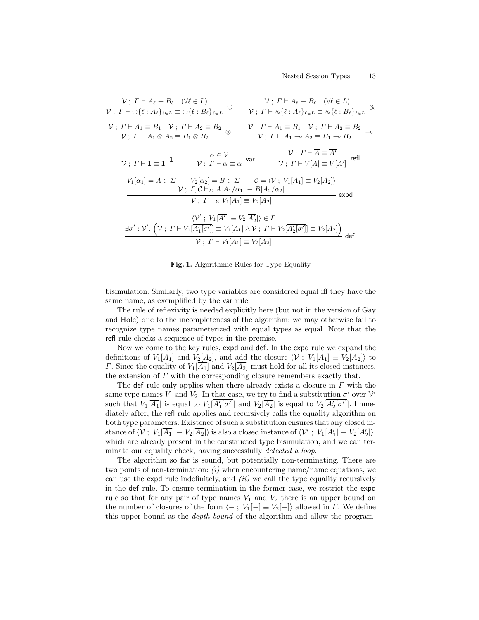| $V: \Gamma \vdash A_{\ell} \equiv B_{\ell} \quad (\forall \ell \in L)$<br>$V: \Gamma \vdash \bigoplus \{ \ell : A_{\ell} \}_{\ell \in L} \equiv \bigoplus \{ \ell : B_{\ell} \}_{\ell \in L} \quad \oplus$                                                                                                                          | $V: \Gamma \vdash A_{\ell} \equiv B_{\ell} \quad (\forall \ell \in L)$<br>$V: \Gamma \vdash \& \{\ell : A_{\ell}\}_{\ell \in L} \equiv \& \{\ell : B_{\ell}\}_{\ell \in L}$                                              |
|-------------------------------------------------------------------------------------------------------------------------------------------------------------------------------------------------------------------------------------------------------------------------------------------------------------------------------------|--------------------------------------------------------------------------------------------------------------------------------------------------------------------------------------------------------------------------|
| $\frac{\mathcal{V}}{\mathcal{V}}$ ; $\Gamma \vdash A_1 \equiv B_1 \quad \mathcal{V}$ ; $\Gamma \vdash A_2 \equiv B_2 \ \mathcal{V}$ ; $\Gamma \vdash A_1 \otimes A_2 \equiv B_1 \otimes B_2$                                                                                                                                        | $\frac{\mathcal{V}}{\mathcal{V}}$ ; $\Gamma \vdash A_1 \equiv B_1 \quad \mathcal{V}$ ; $\Gamma \vdash A_2 \equiv B_2 \ \neg \circ \mathcal{V}$ ; $\Gamma \vdash A_1 \neg \circ A_2 \equiv B_1 \neg \circ B_2 \neg \circ$ |
| $\frac{\alpha \in \mathcal{V}}{\mathcal{V} : \Gamma \vdash \mathbf{1} \equiv \mathbf{1}}$ $\frac{\alpha \in \mathcal{V}}{\mathcal{V} : \Gamma \vdash \alpha \equiv \alpha}$ var $\frac{\mathcal{V} : \Gamma \vdash \overline{A} \equiv \overline{A'}}{\mathcal{V} : \Gamma \vdash V[\overline{A}] \equiv V[\overline{A'}]}$ refl    |                                                                                                                                                                                                                          |
| $V_1[\overline{\alpha_1}] = A \in \Sigma$ $V_2[\overline{\alpha_2}] = B \in \Sigma$ $\mathcal{C} = \langle \mathcal{V}; V_1[\overline{A_1}] \equiv V_2[\overline{A_2}] \rangle$<br>$\mathcal{V}$ ; $\Gamma, \mathcal{C} \vdash_{\Sigma} A[\overline{A_1}/\overline{\alpha_1}] \equiv B[\overline{A_2}/\overline{\alpha_2}]$         | expd                                                                                                                                                                                                                     |
| $\mathcal{V}$ ; $\Gamma \vdash_{\Sigma} V_1[\overline{A_1}] \equiv V_2[\overline{A_2}]$<br>$\langle \mathcal{V}'; V_1[\overline{A'_1}] \equiv V_2[\overline{A'_2}] \rangle \in \Gamma$                                                                                                                                              |                                                                                                                                                                                                                          |
| $\exists \sigma': \mathcal{V}'.\left(\mathcal{V} \; ; \; \Gamma \vdash V_1 \overline{A'_1[\sigma']}\right) = V_1 \overline{[A_1]} \wedge \mathcal{V} \; ; \; \Gamma \vdash V_2 \overline{[A'_2[\sigma']]} \equiv V_2 \overline{[A_2]}\right)$ def<br>$\mathcal{V}$ ; $\Gamma \vdash V_1[\overline{A_1}] \equiv V_2[\overline{A_2}]$ |                                                                                                                                                                                                                          |

<span id="page-12-0"></span>Fig. 1. Algorithmic Rules for Type Equality

bisimulation. Similarly, two type variables are considered equal iff they have the same name, as exemplified by the var rule.

The rule of reflexivity is needed explicitly here (but not in the version of Gay and Hole) due to the incompleteness of the algorithm: we may otherwise fail to recognize type names parameterized with equal types as equal. Note that the refl rule checks a sequence of types in the premise.

Now we come to the key rules, expd and def. In the expd rule we expand the definitions of  $V_1\overline{A_1}$  and  $V_2\overline{A_2}$ , and add the closure  $\langle V; V_1\overline{A_1} \equiv V_2\overline{A_2}$  to Γ. Since the equality of  $V_1\overline{A_1}$  and  $V_2\overline{A_2}$  must hold for all its closed instances, the extension of  $\Gamma$  with the corresponding closure remembers exactly that.

The def rule only applies when there already exists a closure in  $\Gamma$  with the same type names  $V_1$  and  $V_2$ . In that case, we try to find a substitution  $\sigma'$  over  $\mathcal{V}'$ such that  $V_1[\overline{A_1}]$  is equal to  $V_1[\overline{A_1'[\sigma']}]$  and  $V_2[\overline{A_2}]$  is equal to  $V_2[\overline{A_2'[\sigma']}]$ . Immediately after, the refl rule applies and recursively calls the equality algorithm on both type parameters. Existence of such a substitution ensures that any closed instance of  $\langle \mathcal{V} : V_1[\overline{A_1}] \equiv V_2[\overline{A_2}] \rangle$  is also a closed instance of  $\langle \mathcal{V}' : V_1[\overline{A_1'}] \equiv V_2[\overline{A_2'}] \rangle$ , which are already present in the constructed type bisimulation, and we can terminate our equality check, having successfully *detected a loop*.

The algorithm so far is sound, but potentially non-terminating. There are two points of non-termination:  $(i)$  when encountering name/name equations, we can use the expd rule indefinitely, and  $(ii)$  we call the type equality recursively in the def rule. To ensure termination in the former case, we restrict the expd rule so that for any pair of type names  $V_1$  and  $V_2$  there is an upper bound on the number of closures of the form  $\langle -; V_1[-] \equiv V_2[-] \rangle$  allowed in  $\Gamma$ . We define this upper bound as the depth bound of the algorithm and allow the program-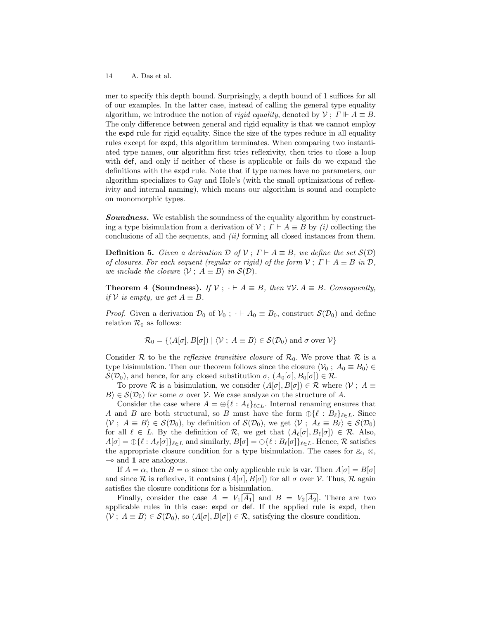mer to specify this depth bound. Surprisingly, a depth bound of 1 suffices for all of our examples. In the latter case, instead of calling the general type equality algorithm, we introduce the notion of *rigid equality*, denoted by  $\mathcal{V}$ ;  $\Gamma \Vdash A \equiv B$ . The only difference between general and rigid equality is that we cannot employ the expd rule for rigid equality. Since the size of the types reduce in all equality rules except for expd, this algorithm terminates. When comparing two instantiated type names, our algorithm first tries reflexivity, then tries to close a loop with def, and only if neither of these is applicable or fails do we expand the definitions with the expd rule. Note that if type names have no parameters, our algorithm specializes to Gay and Hole's (with the small optimizations of reflexivity and internal naming), which means our algorithm is sound and complete on monomorphic types.

Soundness. We establish the soundness of the equality algorithm by constructing a type bisimulation from a derivation of  $\mathcal{V}$ ;  $\Gamma \vdash A \equiv B$  by (i) collecting the conclusions of all the sequents, and  $(ii)$  forming all closed instances from them.

**Definition 5.** Given a derivation D of  $V$ ;  $\Gamma \vdash A \equiv B$ , we define the set  $\mathcal{S}(\mathcal{D})$ of closures. For each sequent (regular or rigid) of the form  $V$ ;  $\Gamma \vdash A \equiv B$  in  $\mathcal{D}$ , we include the closure  $\langle V ; A \equiv B \rangle$  in  $\mathcal{S}(\mathcal{D})$ .

<span id="page-13-0"></span>**Theorem 4 (Soundness).** If  $V$ ;  $\cdot \cdot \cdot A \equiv B$ , then  $\forall V$ .  $A \equiv B$ . Consequently, if  $V$  is empty, we get  $A \equiv B$ .

*Proof.* Given a derivation  $\mathcal{D}_0$  of  $\mathcal{V}_0$ ;  $\cdot \vdash A_0 \equiv B_0$ , construct  $\mathcal{S}(\mathcal{D}_0)$  and define relation  $\mathcal{R}_0$  as follows:

$$
\mathcal{R}_0 = \{ (A[\sigma], B[\sigma]) \mid \langle \mathcal{V} \, ; \, A \equiv B \rangle \in \mathcal{S}(\mathcal{D}_0) \text{ and } \sigma \text{ over } \mathcal{V} \}
$$

Consider R to be the *reflexive transitive closure* of  $\mathcal{R}_0$ . We prove that R is a type bisimulation. Then our theorem follows since the closure  $\langle V_0; A_0 \equiv B_0 \rangle \in$  $\mathcal{S}(\mathcal{D}_0)$ , and hence, for any closed substitution  $\sigma$ ,  $(A_0[\sigma], B_0[\sigma]) \in \mathcal{R}$ .

To prove R is a bisimulation, we consider  $(A|\sigma|, B|\sigma|) \in \mathcal{R}$  where  $\langle \mathcal{V} \rangle$ ; A  $\equiv$  $B\rangle \in \mathcal{S}(\mathcal{D}_0)$  for some  $\sigma$  over V. We case analyze on the structure of A.

Consider the case where  $A = \bigoplus \{ \ell : A_{\ell} \}_{\ell \in L}$ . Internal renaming ensures that A and B are both structural, so B must have the form  $\bigoplus \{ \ell : B_{\ell} \}_{\ell \in L}$ . Since  $\langle V : A \equiv B \rangle \in \mathcal{S}(\mathcal{D}_0)$ , by definition of  $\mathcal{S}(\mathcal{D}_0)$ , we get  $\langle V : A_\ell \equiv B_\ell \rangle \in \mathcal{S}(\mathcal{D}_0)$ for all  $\ell \in L$ . By the definition of R, we get that  $(A_{\ell}[\sigma], B_{\ell}[\sigma]) \in \mathcal{R}$ . Also,  $A[\sigma] = \bigoplus_i \{\ell : A_{\ell}[\sigma]\}_{\ell \in L}$  and similarly,  $B[\sigma] = \bigoplus_i \{\ell : B_{\ell}[\sigma]\}_{\ell \in L}$ . Hence, R satisfies the appropriate closure condition for a type bisimulation. The cases for  $\&$ ,  $\&$ ,  $\&$ ,  $\sim$  and 1 are analogous.

If  $A = \alpha$ , then  $B = \alpha$  since the only applicable rule is var. Then  $A[\sigma] = B[\sigma]$ and since R is reflexive, it contains  $(A[\sigma], B[\sigma])$  for all  $\sigma$  over V. Thus, R again satisfies the closure conditions for a bisimulation.

Finally, consider the case  $A = V_1[A_1]$  and  $B = V_2[A_2]$ . There are two applicable rules in this case: expd or def. If the applied rule is expd, then  $\langle V; A \equiv B \rangle \in \mathcal{S}(\mathcal{D}_0)$ , so  $(A[\sigma], B[\sigma]) \in \mathcal{R}$ , satisfying the closure condition.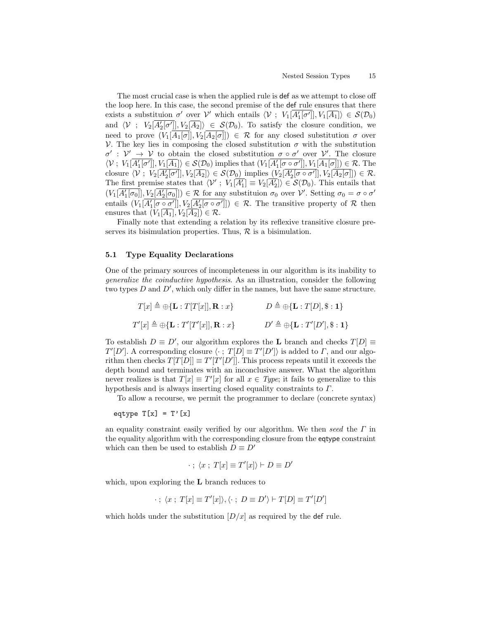The most crucial case is when the applied rule is def as we attempt to close off the loop here. In this case, the second premise of the def rule ensures that there exists a substituion  $\sigma'$  over  $\mathcal{V}'$  which entails  $\langle \mathcal{V} : V_1[\overline{A'_1[\sigma']}], V_1[\overline{A_1}] \rangle \in \mathcal{S}(\mathcal{D}_0)$ and  $\langle V ; V_2[\overline{A'_2[\sigma']}], V_2[\overline{A_2}] \rangle \in \mathcal{S}(\mathcal{D}_0)$ . To satisfy the closure condition, we need to prove  $(V_1[\overline{A_1[\sigma]}], V_2[\overline{A_2[\sigma]}]) \in \mathcal{R}$  for any closed substitution  $\sigma$  over V. The key lies in composing the closed substitution  $\sigma$  with the substitution  $\sigma'$ :  $\mathcal{V}' \to \mathcal{V}$  to obtain the closed substitution  $\sigma \circ \sigma'$  over  $\mathcal{V}'$ . The closure  $\langle V, V_1[\overline{A'_1[\sigma']}], V_1[\overline{A_1}] \rangle \in \mathcal{S}(\mathcal{D}_0)$  implies that  $(V_1[\overline{A'_1[\sigma \circ \sigma']}], V_1[\overline{A_1[\sigma]}]) \in \mathcal{R}$ . The closure  $\langle V, V_2[\overline{A'_2[\sigma']}], V_2[\overline{A_2}] \rangle \in \mathcal{S}(\mathcal{D}_0)$  implies  $(V_2[\overline{A'_2[\sigma \circ \sigma']}], V_2[\overline{A_2[\sigma]})] \in \mathcal{R}$ . The first premise states that  $\langle V' : V_1 \overline{A'_1} \equiv V_2 \overline{A'_2} \rangle \in \mathcal{S}(\mathcal{D}_0)$ . This entails that  $(V_1[\overline{A'_1[\sigma_0]}], V_2[\overline{A'_2[\sigma_0]}]) \in \mathcal{R}$  for any substituion  $\sigma_0$  over  $\mathcal{V}'$ . Setting  $\sigma_0 = \sigma \circ \sigma'$ entails  $(V_1\overline{A'_1[\sigma\circ\sigma']}, V_2\overline{A'_2[\sigma\circ\sigma']})\in\mathcal{R}$ . The transitive property of  $\mathcal R$  then ensures that  $(V_1[A_1], V_2[A_2]) \in \mathcal{R}$ .

Finally note that extending a relation by its reflexive transitive closure preserves its bisimulation properties. Thus,  $R$  is a bisimulation.

### <span id="page-14-0"></span>5.1 Type Equality Declarations

One of the primary sources of incompleteness in our algorithm is its inability to generalize the coinductive hypothesis. As an illustration, consider the following two types  $D$  and  $D'$ , which only differ in the names, but have the same structure.

$$
T[x] \triangleq \bigoplus \{ \mathbf{L} : T[T[x]], \mathbf{R} : x \} \qquad D \triangleq \bigoplus \{ \mathbf{L} : T[D], \$ : 1 \}
$$
  

$$
T'[x] \triangleq \bigoplus \{ \mathbf{L} : T'[T'[x]], \mathbf{R} : x \} \qquad D' \triangleq \bigoplus \{ \mathbf{L} : T'[D'], \$ : 1 \}
$$

To establish  $D \equiv D'$ , our algorithm explores the **L** branch and checks  $T[D] \equiv$  $T'[D']$ . A corresponding closure  $\langle \cdot ; T[D] \equiv T'[D'] \rangle$  is added to  $\Gamma$ , and our algorithm then checks  $T[T[D]] \equiv T'[T'[D']]$ . This process repeats until it exceeds the depth bound and terminates with an inconclusive answer. What the algorithm never realizes is that  $T[x] \equiv T'[x]$  for all  $x \in Type$ ; it fails to generalize to this hypothesis and is always inserting closed equality constraints to Γ.

To allow a recourse, we permit the programmer to declare (concrete syntax)

#### eqtype  $T[x] = T'[x]$

an equality constraint easily verified by our algorithm. We then seed the  $\Gamma$  in the equality algorithm with the corresponding closure from the eqtype constraint which can then be used to establish  $D \equiv D'$ 

$$
\cdot \; ; \; \langle x \; ; \; T[x] \equiv T'[x] \rangle \vdash D \equiv D'
$$

which, upon exploring the  $L$  branch reduces to

$$
\cdot \; ; \; \langle x \; ; \; T[x] \equiv T'[x] \rangle, \langle \cdot \; ; \; D \equiv D' \rangle \vdash T[D] \equiv T'[D']
$$

which holds under the substitution  $[D/x]$  as required by the def rule.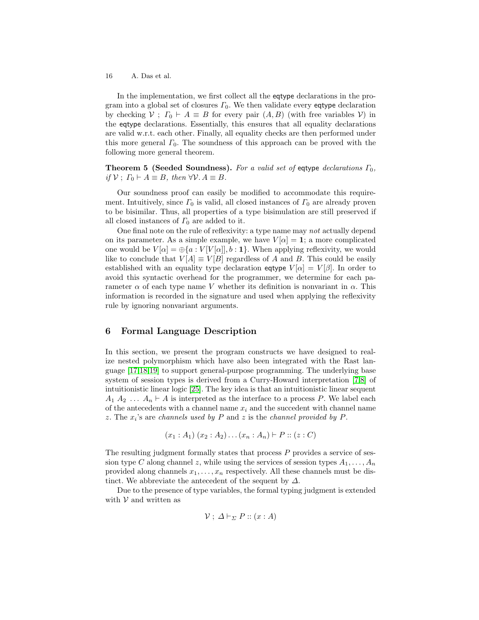In the implementation, we first collect all the eqtype declarations in the program into a global set of closures  $\Gamma_0$ . We then validate every eqtype declaration by checking  $V$ ;  $\Gamma_0 \vdash A \equiv B$  for every pair  $(A, B)$  (with free variables  $V$ ) in the eqtype declarations. Essentially, this ensures that all equality declarations are valid w.r.t. each other. Finally, all equality checks are then performed under this more general  $\Gamma_0$ . The soundness of this approach can be proved with the following more general theorem.

**Theorem 5 (Seeded Soundness).** For a valid set of eqtype declarations  $\Gamma_0$ , if  $V$ ;  $\Gamma_0 \vdash A \equiv B$ , then  $\forall V$ .  $A \equiv B$ .

Our soundness proof can easily be modified to accommodate this requirement. Intuitively, since  $\Gamma_0$  is valid, all closed instances of  $\Gamma_0$  are already proven to be bisimilar. Thus, all properties of a type bisimulation are still preserved if all closed instances of  $\Gamma_0$  are added to it.

One final note on the rule of reflexivity: a type name may not actually depend on its parameter. As a simple example, we have  $V[\alpha] = 1$ ; a more complicated one would be  $V[\alpha] = \bigoplus \{a : V[V[\alpha]], b : \mathbf{1}\}\)$ . When applying reflexivity, we would like to conclude that  $V[A] \equiv V[B]$  regardless of A and B. This could be easily established with an equality type declaration eqtype  $V[\alpha] = V[\beta]$ . In order to avoid this syntactic overhead for the programmer, we determine for each parameter  $\alpha$  of each type name V whether its definition is nonvariant in  $\alpha$ . This information is recorded in the signature and used when applying the reflexivity rule by ignoring nonvariant arguments.

## <span id="page-15-0"></span>6 Formal Language Description

In this section, we present the program constructs we have designed to realize nested polymorphism which have also been integrated with the Rast language [\[17,](#page-26-1)[18](#page-26-8)[,19\]](#page-26-9) to support general-purpose programming. The underlying base system of session types is derived from a Curry-Howard interpretation [\[7,](#page-25-0)[8\]](#page-25-1) of intuitionistic linear logic [\[25\]](#page-26-11). The key idea is that an intuitionistic linear sequent  $A_1 \ A_2 \ \ldots \ A_n \vdash A$  is interpreted as the interface to a process P. We label each of the antecedents with a channel name  $x_i$  and the succedent with channel name z. The  $x_i$ 's are channels used by P and z is the channel provided by P.

$$
(x_1 : A_1) (x_2 : A_2) \dots (x_n : A_n) \vdash P :: (z : C)
$$

The resulting judgment formally states that process  $P$  provides a service of session type C along channel z, while using the services of session types  $A_1, \ldots, A_n$ provided along channels  $x_1, \ldots, x_n$  respectively. All these channels must be distinct. We abbreviate the antecedent of the sequent by  $\Delta$ .

Due to the presence of type variables, the formal typing judgment is extended with  $V$  and written as

$$
\mathcal{V} \; ; \; \Delta \vdash_{\varSigma} P :: (x : A)
$$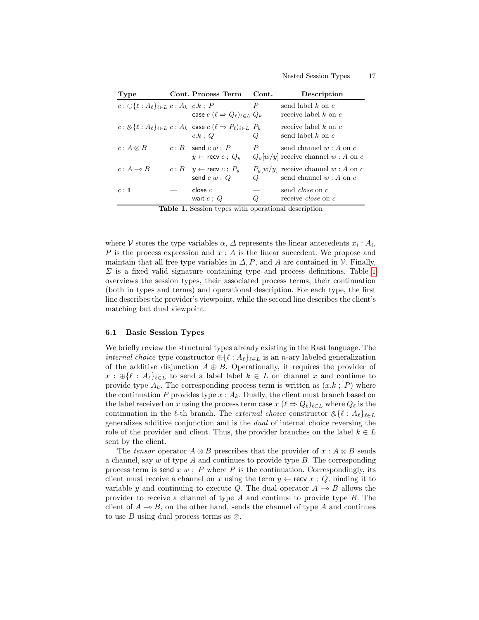| Type                                                            | Cont. Process Term                                                                                                               | Cont.            | Description                                                          |
|-----------------------------------------------------------------|----------------------------------------------------------------------------------------------------------------------------------|------------------|----------------------------------------------------------------------|
| $c: \bigoplus \{\ell : A_{\ell}\}_{\ell \in L} c: A_{k} c.k; P$ | case $c$ $(\ell \Rightarrow Q_{\ell})_{\ell \in L} Q_k$                                                                          | P                | send label $k$ on $c$<br>receive label $k$ on $c$                    |
|                                                                 | $c: \mathcal{L}\{\ell : A_{\ell}\}_{\ell \in L}$ $c: A_{k}$ case $c$ $(\ell \Rightarrow P_{\ell})_{\ell \in L}$ $P_{k}$<br>c.k:Q | Q                | receive label $k$ on $c$<br>send label $k$ on $c$                    |
| $c: A \otimes B$                                                | $c:B$ send $c w : P$<br>$y \leftarrow$ recv $c : Q_y$                                                                            | $\boldsymbol{P}$ | send channel $w : A$ on c<br>$Q_y[w/y]$ receive channel $w : A$ on c |
| $c: A \rightarrow B$                                            | $c:B \quad y \leftarrow$ recv $c: P_y$<br>send $c w$ ; $Q$                                                                       | Q                | $P_y[w/y]$ receive channel $w : A$ on c<br>send channel $w : A$ on c |
| c:1                                                             | close $c$<br>wait $c:Q$                                                                                                          | Q                | send <i>close</i> on c<br>receive <i>close</i> on c                  |
|                                                                 | $m + 1 + n + 1$                                                                                                                  |                  |                                                                      |

<span id="page-16-0"></span>Table 1. Session types with operational description

where V stores the type variables  $\alpha$ ,  $\Delta$  represents the linear antecedents  $x_i : A_i$ ,  $P$  is the process expression and  $x : A$  is the linear succedent. We propose and maintain that all free type variables in  $\Delta$ , P, and A are contained in  $\mathcal V$ . Finally,  $\Sigma$  is a fixed valid signature containing type and process definitions. Table [1](#page-16-0) overviews the session types, their associated process terms, their continuation (both in types and terms) and operational description. For each type, the first line describes the provider's viewpoint, while the second line describes the client's matching but dual viewpoint.

#### 6.1 Basic Session Types

We briefly review the structural types already existing in the Rast language. The *internal choice* type constructor  $\bigoplus \{ \ell : A_{\ell} \}_{\ell \in L}$  is an *n*-ary labeled generalization of the additive disjunction  $A \oplus B$ . Operationally, it requires the provider of  $x : \bigoplus \{ \ell : A_{\ell} \}_{\ell \in L}$  to send a label label  $k \in L$  on channel x and continue to provide type  $A_k$ . The corresponding process term is written as  $(x.k ; P)$  where the continuation P provides type  $x : A_k$ . Dually, the client must branch based on the label received on x using the process term case  $x \ (\ell \Rightarrow Q_\ell)_{\ell \in L}$  where  $Q_\ell$  is the continuation in the  $\ell$ -th branch. The *external choice* constructor  $\mathcal{E}\{\ell : A_{\ell}\}_{\ell \in L}$ generalizes additive conjunction and is the dual of internal choice reversing the role of the provider and client. Thus, the provider branches on the label  $k \in L$ sent by the client.

The tensor operator  $A \otimes B$  prescribes that the provider of  $x : A \otimes B$  sends a channel, say  $w$  of type  $A$  and continues to provide type  $B$ . The corresponding process term is send  $x \, w$ ; P where P is the continuation. Correspondingly, its client must receive a channel on x using the term  $y \leftarrow$  recv x; Q, binding it to variable y and continuing to execute Q. The dual operator  $A \rightarrow B$  allows the provider to receive a channel of type  $A$  and continue to provide type  $B$ . The client of  $A \rightarrow B$ , on the other hand, sends the channel of type A and continues to use B using dual process terms as  $\otimes$ .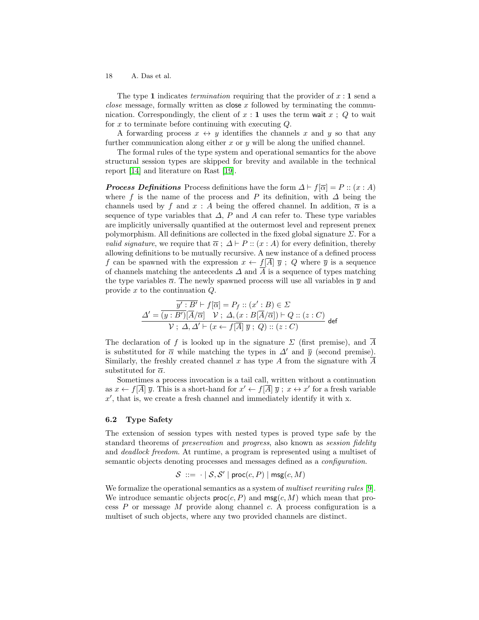The type 1 indicates *termination* requiring that the provider of  $x: 1$  send a *close* message, formally written as close  $x$  followed by terminating the communication. Correspondingly, the client of  $x: 1$  uses the term wait  $x: Q$  to wait for  $x$  to terminate before continuing with executing  $Q$ .

A forwarding process  $x \leftrightarrow y$  identifies the channels x and y so that any further communication along either  $x$  or  $y$  will be along the unified channel.

The formal rules of the type system and operational semantics for the above structural session types are skipped for brevity and available in the technical report [\[14\]](#page-25-5) and literature on Rast [\[19\]](#page-26-9).

**Process Definitions** Process definitions have the form  $\Delta \vdash f[\overline{\alpha}] = P :: (x : A)$ where f is the name of the process and P its definition, with  $\Delta$  being the channels used by f and  $x : A$  being the offered channel. In addition,  $\overline{\alpha}$  is a sequence of type variables that  $\Delta$ , P and A can refer to. These type variables are implicitly universally quantified at the outermost level and represent prenex polymorphism. All definitions are collected in the fixed global signature  $\Sigma$ . For a *valid signature*, we require that  $\overline{\alpha}$ ;  $\Delta \vdash P :: (x : A)$  for every definition, thereby allowing definitions to be mutually recursive. A new instance of a defined process f can be spawned with the expression  $x \leftarrow f[\overline{A}] \overline{y}$ ; Q where  $\overline{y}$  is a sequence of channels matching the antecedents  $\Delta$  and  $\overline{A}$  is a sequence of types matching the type variables  $\bar{\alpha}$ . The newly spawned process will use all variables in  $\bar{y}$  and provide  $x$  to the continuation  $Q$ .

$$
\frac{\overline{y'}:B'\vdash f[\overline{\alpha}]=P_f::(x':B)\in\Sigma}{\mathcal{V}:B')[\overline{A}/\overline{\alpha}]\quad \mathcal{V}: \ \Delta,(x:B[\overline{A}/\overline{\alpha}])\vdash Q::(z:C)} \ \mathcal{V}: \ \Delta,\Delta'\vdash (x\leftarrow f[\overline{A}]\ \overline{y}\ ; \ \overline{Q}):\ : (z:C)
$$

The declaration of f is looked up in the signature  $\Sigma$  (first premise), and  $\overline{A}$ is substituted for  $\bar{\alpha}$  while matching the types in  $\Delta'$  and  $\bar{y}$  (second premise). Similarly, the freshly created channel x has type A from the signature with  $\overline{A}$ substituted for  $\bar{\alpha}$ .

Sometimes a process invocation is a tail call, written without a continuation as  $x \leftarrow f[\overline{A}] \overline{y}$ . This is a short-hand for  $x' \leftarrow f[\overline{A}] \overline{y}$ ;  $x \leftrightarrow x'$  for a fresh variable  $x'$ , that is, we create a fresh channel and immediately identify it with x.

#### 6.2 Type Safety

The extension of session types with nested types is proved type safe by the standard theorems of *preservation* and *progress*, also known as *session fidelity* and deadlock freedom. At runtime, a program is represented using a multiset of semantic objects denoting processes and messages defined as a *configuration*.

$$
\mathcal{S} \ ::= \ \cdot \ | \ \mathcal{S}, \mathcal{S}' \ | \ \mathsf{proc}(c, P) \ | \ \mathsf{msg}(c, M)
$$

We formalize the operational semantics as a system of *multiset rewriting rules* [\[9\]](#page-25-6). We introduce semantic objects  $\textsf{proc}(c, P)$  and  $\textsf{msg}(c, M)$  which mean that process  $P$  or message  $M$  provide along channel  $c$ . A process configuration is a multiset of such objects, where any two provided channels are distinct.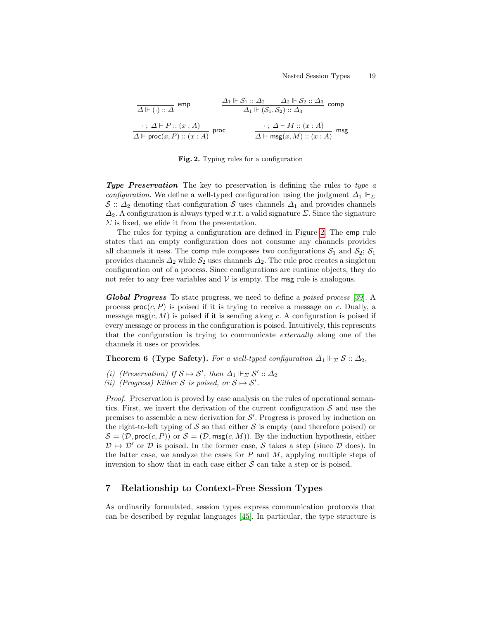$$
\begin{array}{ll}\n\hline\n\Delta \Vdash (\cdot) :: \Delta \quad \text{emp} & \Delta_1 \Vdash \mathcal{S}_1 :: \Delta_2 \qquad \Delta_2 \Vdash \mathcal{S}_2 :: \Delta_3 \quad \text{comp} \\
\hline\n\Delta_1 \Vdash (\mathcal{S}_1, \mathcal{S}_2) :: \Delta_3 & \text{comp} \\
\hline\n\vdots \Delta \vdash P :: (x : A) & \text{proc} \\
\hline\n\Delta \Vdash \text{proc}(x, P) :: (x : A) & \Delta \Vdash \text{msg}(x, M) :: (x : A) \\
\hline\n\end{array} \text{msg}\n\hline\n\end{array}
$$

<span id="page-18-1"></span>Fig. 2. Typing rules for a configuration

**Type Preservation** The key to preservation is defining the rules to type a configuration. We define a well-typed configuration using the judgment  $\Delta_1 \Vdash_{\Sigma}$  $S$  ::  $\Delta_2$  denoting that configuration S uses channels  $\Delta_1$  and provides channels  $\Delta_2$ . A configuration is always typed w.r.t. a valid signature  $\Sigma$ . Since the signature  $\Sigma$  is fixed, we elide it from the presentation.

The rules for typing a configuration are defined in Figure [2.](#page-18-1) The emp rule states that an empty configuration does not consume any channels provides all channels it uses. The comp rule composes two configurations  $S_1$  and  $S_2$ ;  $S_1$ provides channels  $\Delta_2$  while  $\mathcal{S}_2$  uses channels  $\Delta_2$ . The rule proc creates a singleton configuration out of a process. Since configurations are runtime objects, they do not refer to any free variables and  $V$  is empty. The msg rule is analogous.

Global Progress To state progress, we need to define a *poised process* [\[39\]](#page-27-10). A process  $\textsf{proc}(c, P)$  is poised if it is trying to receive a message on c. Dually, a message  $\textsf{msg}(c, M)$  is poised if it is sending along c. A configuration is poised if every message or process in the configuration is poised. Intuitively, this represents that the configuration is trying to communicate externally along one of the channels it uses or provides.

**Theorem 6 (Type Safety).** For a well-typed configuration  $\Delta_1 \Vdash_{\Sigma} S :: \Delta_2$ ,

(i) (Preservation) If  $S \mapsto S'$ , then  $\Delta_1 \Vdash_{\Sigma} S' :: \Delta_2$ 

(ii) (Progress) Either S is poised, or  $S \mapsto S'$ .

Proof. Preservation is proved by case analysis on the rules of operational semantics. First, we invert the derivation of the current configuration  $S$  and use the premises to assemble a new derivation for  $\mathcal{S}'$ . Progress is proved by induction on the right-to-left typing of  $S$  so that either  $S$  is empty (and therefore poised) or  $S = (\mathcal{D}, \text{proc}(c, P))$  or  $S = (\mathcal{D}, \text{msg}(c, M))$ . By the induction hypothesis, either  $\mathcal{D} \mapsto \mathcal{D}'$  or  $\mathcal{D}$  is poised. In the former case, S takes a step (since  $\mathcal{D}$  does). In the latter case, we analyze the cases for  $P$  and  $M$ , applying multiple steps of inversion to show that in each case either  $S$  can take a step or is poised.

## <span id="page-18-0"></span>7 Relationship to Context-Free Session Types

As ordinarily formulated, session types express communication protocols that can be described by regular languages [\[45\]](#page-27-2). In particular, the type structure is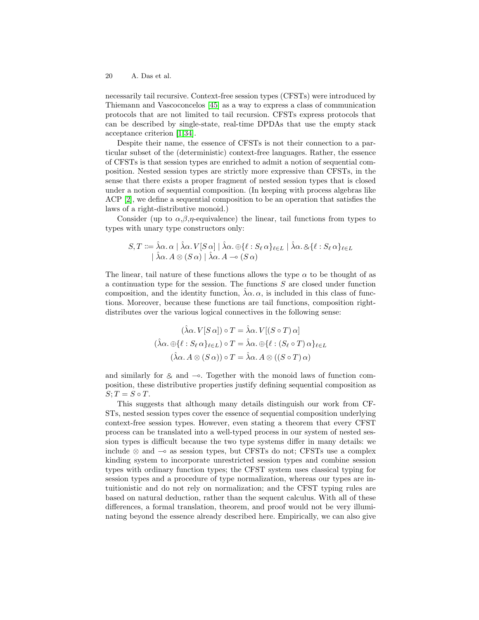necessarily tail recursive. Context-free session types (CFSTs) were introduced by Thiemann and Vascoconcelos [\[45\]](#page-27-2) as a way to express a class of communication protocols that are not limited to tail recursion. CFSTs express protocols that can be described by single-state, real-time DPDAs that use the empty stack acceptance criterion [\[1,](#page-25-7)[34\]](#page-27-8).

Despite their name, the essence of CFSTs is not their connection to a particular subset of the (deterministic) context-free languages. Rather, the essence of CFSTs is that session types are enriched to admit a notion of sequential composition. Nested session types are strictly more expressive than CFSTs, in the sense that there exists a proper fragment of nested session types that is closed under a notion of sequential composition. (In keeping with process algebras like ACP [\[2\]](#page-25-8), we define a sequential composition to be an operation that satisfies the laws of a right-distributive monoid.)

Consider (up to  $\alpha, \beta, \eta$ -equivalence) the linear, tail functions from types to types with unary type constructors only:

$$
S, T ::= \hat{\lambda} \alpha. \alpha \mid \hat{\lambda} \alpha. V[S \alpha] \mid \hat{\lambda} \alpha. \oplus \{\ell : S_{\ell} \alpha\}_{\ell \in L} \mid \hat{\lambda} \alpha. \otimes \{\ell : S_{\ell} \alpha\}_{\ell \in L} \mid \hat{\lambda} \alpha. A \otimes (S \alpha) \mid \hat{\lambda} \alpha. A \rightarrow (S \alpha)
$$

The linear, tail nature of these functions allows the type  $\alpha$  to be thought of as a continuation type for the session. The functions  $S$  are closed under function composition, and the identity function,  $\lambda \alpha$ .  $\alpha$ , is included in this class of functions. Moreover, because these functions are tail functions, composition rightdistributes over the various logical connectives in the following sense:

$$
(\hat{\lambda}\alpha. V[S \alpha]) \circ T = \hat{\lambda}\alpha. V[(S \circ T) \alpha]
$$

$$
(\hat{\lambda}\alpha. \oplus \{\ell : S_{\ell} \alpha\}_{\ell \in L}) \circ T = \hat{\lambda}\alpha. \oplus \{\ell : (S_{\ell} \circ T) \alpha\}_{\ell \in L}
$$

$$
(\hat{\lambda}\alpha. A \otimes (S \alpha)) \circ T = \hat{\lambda}\alpha. A \otimes ((S \circ T) \alpha)
$$

and similarly for  $\&$  and  $\&$ . Together with the monoid laws of function composition, these distributive properties justify defining sequential composition as  $S; T = S \circ T$ .

This suggests that although many details distinguish our work from CF-STs, nested session types cover the essence of sequential composition underlying context-free session types. However, even stating a theorem that every CFST process can be translated into a well-typed process in our system of nested session types is difficult because the two type systems differ in many details: we include  $\otimes$  and  $\sim$  as session types, but CFSTs do not; CFSTs use a complex kinding system to incorporate unrestricted session types and combine session types with ordinary function types; the CFST system uses classical typing for session types and a procedure of type normalization, whereas our types are intuitionistic and do not rely on normalization; and the CFST typing rules are based on natural deduction, rather than the sequent calculus. With all of these differences, a formal translation, theorem, and proof would not be very illuminating beyond the essence already described here. Empirically, we can also give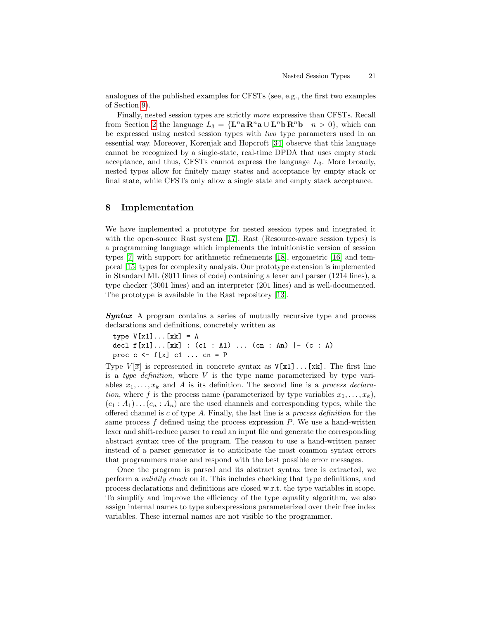analogues of the published examples for CFSTs (see, e.g., the first two examples of Section [9\)](#page-21-0).

Finally, nested session types are strictly more expressive than CFSTs. Recall from Section [2](#page-2-0) the language  $L_3 = {\mathbf{L}^n \mathbf{a} \mathbf{R}^n \mathbf{a} \cup \mathbf{L}^n \mathbf{b} \mathbf{R}^n \mathbf{b} \mid n > 0}$ , which can be expressed using nested session types with two type parameters used in an essential way. Moreover, Korenjak and Hopcroft [\[34\]](#page-27-8) observe that this language cannot be recognized by a single-state, real-time DPDA that uses empty stack acceptance, and thus, CFSTs cannot express the language  $L_3$ . More broadly, nested types allow for finitely many states and acceptance by empty stack or final state, while CFSTs only allow a single state and empty stack acceptance.

### <span id="page-20-0"></span>8 Implementation

We have implemented a prototype for nested session types and integrated it with the open-source Rast system [\[17\]](#page-26-1). Rast (Resource-aware session types) is a programming language which implements the intuitionistic version of session types [\[7\]](#page-25-0) with support for arithmetic refinements [\[18\]](#page-26-8), ergometric [\[16\]](#page-25-9) and temporal [\[15\]](#page-25-10) types for complexity analysis. Our prototype extension is implemented in Standard ML (8011 lines of code) containing a lexer and parser (1214 lines), a type checker (3001 lines) and an interpreter (201 lines) and is well-documented. The prototype is available in the Rast repository [\[13\]](#page-25-11).

Syntax A program contains a series of mutually recursive type and process declarations and definitions, concretely written as

```
type V[x1] \ldots [xk] = Adecl f[x1] \dots [xk] : (c1 : A1) \dots (cn : An) |- (c : A)
proc c \leftarrow f[x] c1 \ldots cn = P
```
Type  $V[\overline{x}]$  is represented in concrete syntax as  $V[x1] \dots [xk]$ . The first line is a type definition, where  $V$  is the type name parameterized by type variables  $x_1, \ldots, x_k$  and A is its definition. The second line is a process declaration, where f is the process name (parameterized by type variables  $x_1, \ldots, x_k$ ),  $(c_1 : A_1) \dots (c_n : A_n)$  are the used channels and corresponding types, while the offered channel is c of type A. Finally, the last line is a *process definition* for the same process  $f$  defined using the process expression  $P$ . We use a hand-written lexer and shift-reduce parser to read an input file and generate the corresponding abstract syntax tree of the program. The reason to use a hand-written parser instead of a parser generator is to anticipate the most common syntax errors that programmers make and respond with the best possible error messages.

Once the program is parsed and its abstract syntax tree is extracted, we perform a validity check on it. This includes checking that type definitions, and process declarations and definitions are closed w.r.t. the type variables in scope. To simplify and improve the efficiency of the type equality algorithm, we also assign internal names to type subexpressions parameterized over their free index variables. These internal names are not visible to the programmer.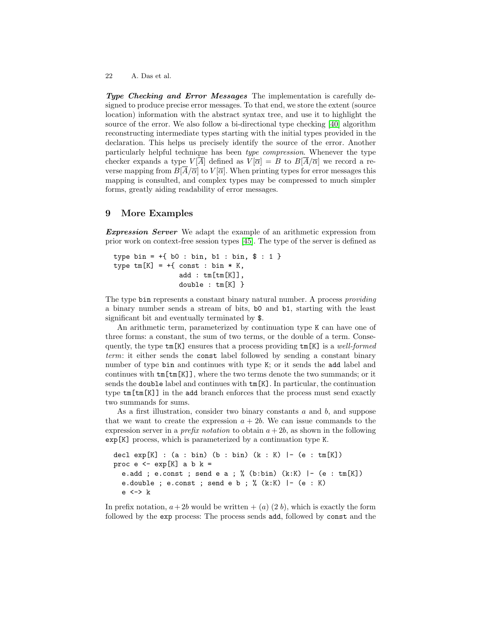Type Checking and Error Messages The implementation is carefully designed to produce precise error messages. To that end, we store the extent (source location) information with the abstract syntax tree, and use it to highlight the source of the error. We also follow a bi-directional type checking [\[40\]](#page-27-11) algorithm reconstructing intermediate types starting with the initial types provided in the declaration. This helps us precisely identify the source of the error. Another particularly helpful technique has been type compression. Whenever the type checker expands a type  $V[\overline{A}]$  defined as  $V[\overline{\alpha}] = B$  to  $B[\overline{A}/\overline{\alpha}]$  we record a reverse mapping from  $B[\overline{A}/\overline{\alpha}]$  to  $V[\overline{\alpha}]$ . When printing types for error messages this mapping is consulted, and complex types may be compressed to much simpler forms, greatly aiding readability of error messages.

### <span id="page-21-0"></span>9 More Examples

Expression Server We adapt the example of an arithmetic expression from prior work on context-free session types [\[45\]](#page-27-2). The type of the server is defined as

type bin =  $+$ { b0 : bin, b1 : bin, \$ : 1 } type  $tm[K] = +\{ const : bin * K,$ add : tm[tm[K]], double : tm[K] }

The type bin represents a constant binary natural number. A process providing a binary number sends a stream of bits, b0 and b1, starting with the least significant bit and eventually terminated by \$.

An arithmetic term, parameterized by continuation type K can have one of three forms: a constant, the sum of two terms, or the double of a term. Consequently, the type  $\tan[K]$  ensures that a process providing  $\tan[K]$  is a well-formed term: it either sends the const label followed by sending a constant binary number of type bin and continues with type K; or it sends the add label and continues with  $\tan{\lfloor \tan(K) \rfloor}$ , where the two terms denote the two summands; or it sends the double label and continues with tm[K]. In particular, the continuation type tm[tm[K]] in the add branch enforces that the process must send exactly two summands for sums.

As a first illustration, consider two binary constants  $a$  and  $b$ , and suppose that we want to create the expression  $a + 2b$ . We can issue commands to the expression server in a *prefix notation* to obtain  $a + 2b$ , as shown in the following exp[K] process, which is parameterized by a continuation type K.

```
decl exp[K] : (a : bin) (b : bin) (k : K) |- (e : tm[K])
proc e \leftarrow exp[K] a b k =e.add ; e.const ; send e a ; % (b:bin) (k:K) |- (e : tm[K])
  e.double ; e.const ; send e b ; % (k:K) | - (e : K)
  e <-> k
```
In prefix notation,  $a+2b$  would be written  $+(a)$  (2 b), which is exactly the form followed by the exp process: The process sends add, followed by const and the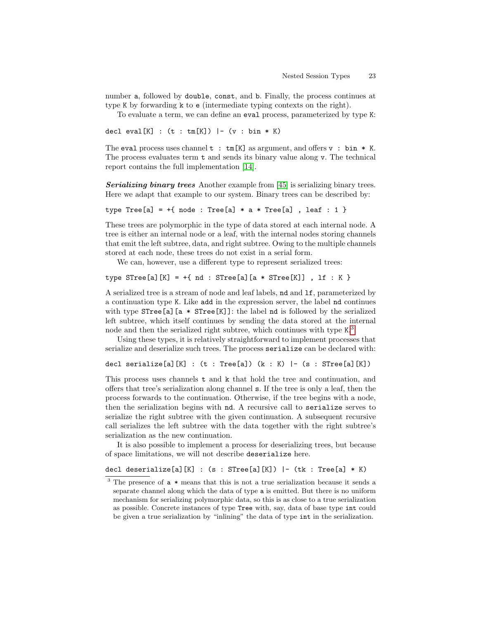number a, followed by double, const, and b. Finally, the process continues at type K by forwarding k to e (intermediate typing contexts on the right).

To evaluate a term, we can define an eval process, parameterized by type K:

decl eval[K] :  $(t : tm[K])$   $| (v : bin * K)$ 

The eval process uses channel  $t : tm[K]$  as argument, and offers v : bin  $* K$ . The process evaluates term t and sends its binary value along v. The technical report contains the full implementation [\[14\]](#page-25-5).

Serializing binary trees Another example from [\[45\]](#page-27-2) is serializing binary trees. Here we adapt that example to our system. Binary trees can be described by:

type  $Tree[a] = +{ node : Tree[a] * a * Tree[a] , leaf : 1 }$ 

These trees are polymorphic in the type of data stored at each internal node. A tree is either an internal node or a leaf, with the internal nodes storing channels that emit the left subtree, data, and right subtree. Owing to the multiple channels stored at each node, these trees do not exist in a serial form.

We can, however, use a different type to represent serialized trees:

type STree[a][K] =  $+$ { nd : STree[a][a \* STree[K]], lf : K }

A serialized tree is a stream of node and leaf labels, nd and lf, parameterized by a continuation type K. Like add in the expression server, the label nd continues with type  $STree[a]$  [a  $*$   $STree[K]$ ]: the label nd is followed by the serialized left subtree, which itself continues by sending the data stored at the internal node and then the serialized right subtree, which continues with type K.<sup>[3](#page-22-0)</sup>

Using these types, it is relatively straightforward to implement processes that serialize and deserialize such trees. The process serialize can be declared with:

```
decl serialize[a][K] : (t : Tree[a]) (k : K) |- (s : Street[a] [K])
```
This process uses channels t and k that hold the tree and continuation, and offers that tree's serialization along channel s. If the tree is only a leaf, then the process forwards to the continuation. Otherwise, if the tree begins with a node, then the serialization begins with nd. A recursive call to serialize serves to serialize the right subtree with the given continuation. A subsequent recursive call serializes the left subtree with the data together with the right subtree's serialization as the new continuation.

It is also possible to implement a process for deserializing trees, but because of space limitations, we will not describe deserialize here.

decl deserialize[a][K] :  $(s : STree[a][K])$  |-  $(tk : Tree[a] * K)$ 

<span id="page-22-0"></span><sup>3</sup> The presence of a \* means that this is not a true serialization because it sends a separate channel along which the data of type a is emitted. But there is no uniform mechanism for serializing polymorphic data, so this is as close to a true serialization as possible. Concrete instances of type Tree with, say, data of base type int could be given a true serialization by "inlining" the data of type int in the serialization.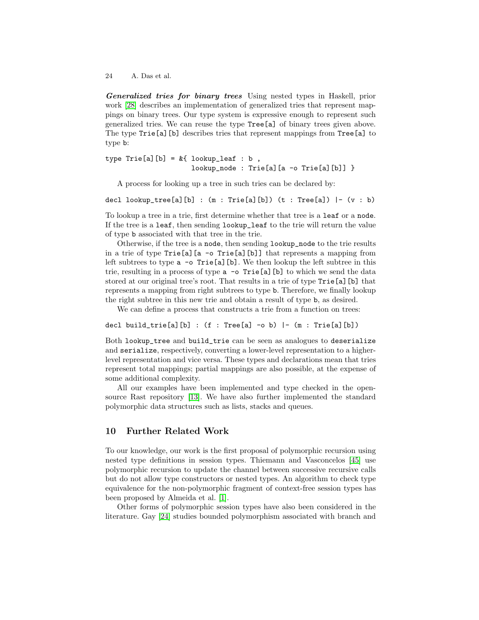Generalized tries for binary trees Using nested types in Haskell, prior work [\[28\]](#page-26-5) describes an implementation of generalized tries that represent mappings on binary trees. Our type system is expressive enough to represent such generalized tries. We can reuse the type Tree[a] of binary trees given above. The type Trie[a][b] describes tries that represent mappings from Tree[a] to type b:

type  $Trie[a][b] = & {$   $i$   $\tbinom{1}{0}$   $i$   $i$   $\tbinom{1}{0}$   $i$   $i$   $i$   $\tbinom{1}{0}$ lookup\_node : Trie[a][a -o Trie[a][b]] }

A process for looking up a tree in such tries can be declared by:

decl lookup\_tree[a][b] :  $(m : Trie[a][b])$   $(t : Tree[a])$   $| - (v : b)$ 

To lookup a tree in a trie, first determine whether that tree is a leaf or a node. If the tree is a leaf, then sending lookup\_leaf to the trie will return the value of type b associated with that tree in the trie.

Otherwise, if the tree is a node, then sending lookup\_node to the trie results in a trie of type Trie[a][a -o Trie[a][b]] that represents a mapping from left subtrees to type  $a \rightarrow$  Trie[a][b]. We then lookup the left subtree in this trie, resulting in a process of type  $a \text{-}o$  Trie[a][b] to which we send the data stored at our original tree's root. That results in a trie of type  $\text{Tri}[\mathsf{a}]$  [b] that represents a mapping from right subtrees to type b. Therefore, we finally lookup the right subtree in this new trie and obtain a result of type b, as desired.

We can define a process that constructs a trie from a function on trees:

decl build\_trie[a][b] :  $(f : Tree[a] \neg o b)$  |-  $(m : Tree[a] [b])$ 

Both lookup\_tree and build\_trie can be seen as analogues to deserialize and serialize, respectively, converting a lower-level representation to a higherlevel representation and vice versa. These types and declarations mean that tries represent total mappings; partial mappings are also possible, at the expense of some additional complexity.

All our examples have been implemented and type checked in the opensource Rast repository [\[13\]](#page-25-11). We have also further implemented the standard polymorphic data structures such as lists, stacks and queues.

### 10 Further Related Work

To our knowledge, our work is the first proposal of polymorphic recursion using nested type definitions in session types. Thiemann and Vasconcelos [\[45\]](#page-27-2) use polymorphic recursion to update the channel between successive recursive calls but do not allow type constructors or nested types. An algorithm to check type equivalence for the non-polymorphic fragment of context-free session types has been proposed by Almeida et al. [\[1\]](#page-25-7).

Other forms of polymorphic session types have also been considered in the literature. Gay [\[24\]](#page-26-3) studies bounded polymorphism associated with branch and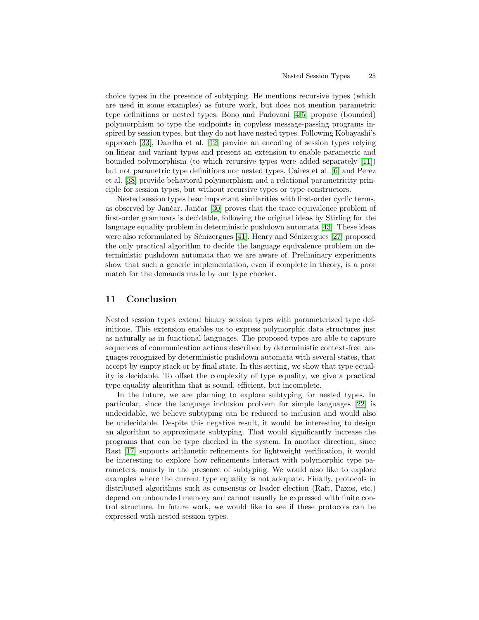choice types in the presence of subtyping. He mentions recursive types (which are used in some examples) as future work, but does not mention parametric type definitions or nested types. Bono and Padovani [\[4,](#page-25-12)[5\]](#page-25-13) propose (bounded) polymorphism to type the endpoints in copyless message-passing programs inspired by session types, but they do not have nested types. Following Kobayashi's approach [\[33\]](#page-26-14), Dardha et al. [\[12\]](#page-25-14) provide an encoding of session types relying on linear and variant types and present an extension to enable parametric and bounded polymorphism (to which recursive types were added separately [\[11\]](#page-25-15)) but not parametric type definitions nor nested types. Caires et al. [\[6\]](#page-25-3) and Perez et al. [\[38\]](#page-27-3) provide behavioral polymorphism and a relational parametricity principle for session types, but without recursive types or type constructors.

Nested session types bear important similarities with first-order cyclic terms, as observed by Janˇcar. Janˇcar [\[30\]](#page-26-13) proves that the trace equivalence problem of first-order grammars is decidable, following the original ideas by Stirling for the language equality problem in deterministic pushdown automata [\[43\]](#page-27-12). These ideas were also reformulated by Sénizergues [\[41\]](#page-27-13). Henry and Sénizergues [\[27\]](#page-26-15) proposed the only practical algorithm to decide the language equivalence problem on deterministic pushdown automata that we are aware of. Preliminary experiments show that such a generic implementation, even if complete in theory, is a poor match for the demands made by our type checker.

## 11 Conclusion

Nested session types extend binary session types with parameterized type definitions. This extension enables us to express polymorphic data structures just as naturally as in functional languages. The proposed types are able to capture sequences of communication actions described by deterministic context-free languages recognized by deterministic pushdown automata with several states, that accept by empty stack or by final state. In this setting, we show that type equality is decidable. To offset the complexity of type equality, we give a practical type equality algorithm that is sound, efficient, but incomplete.

In the future, we are planning to explore subtyping for nested types. In particular, since the language inclusion problem for simple languages [\[22\]](#page-26-16) is undecidable, we believe subtyping can be reduced to inclusion and would also be undecidable. Despite this negative result, it would be interesting to design an algorithm to approximate subtyping. That would significantly increase the programs that can be type checked in the system. In another direction, since Rast [\[17\]](#page-26-1) supports arithmetic refinements for lightweight verification, it would be interesting to explore how refinements interact with polymorphic type parameters, namely in the presence of subtyping. We would also like to explore examples where the current type equality is not adequate. Finally, protocols in distributed algorithms such as consensus or leader election (Raft, Paxos, etc.) depend on unbounded memory and cannot usually be expressed with finite control structure. In future work, we would like to see if these protocols can be expressed with nested session types.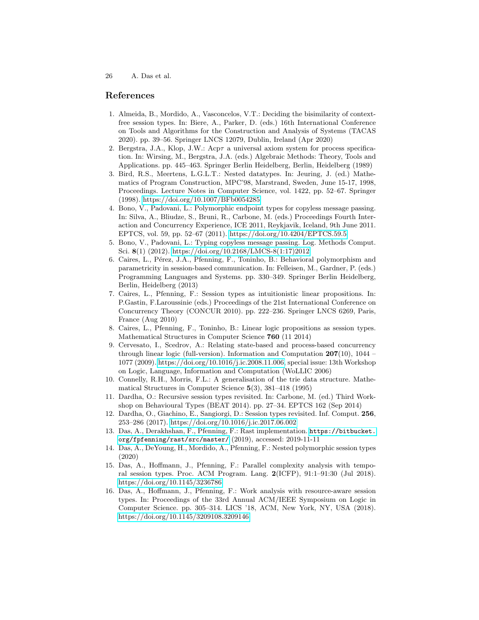### References

- <span id="page-25-7"></span>1. Almeida, B., Mordido, A., Vasconcelos, V.T.: Deciding the bisimilarity of contextfree session types. In: Biere, A., Parker, D. (eds.) 16th International Conference on Tools and Algorithms for the Construction and Analysis of Systems (TACAS 2020). pp. 39–56. Springer LNCS 12079, Dublin, Ireland (Apr 2020)
- <span id="page-25-8"></span>2. Bergstra, J.A., Klop, J.W.: Acpτ a universal axiom system for process specification. In: Wirsing, M., Bergstra, J.A. (eds.) Algebraic Methods: Theory, Tools and Applications. pp. 445–463. Springer Berlin Heidelberg, Berlin, Heidelberg (1989)
- <span id="page-25-2"></span>3. Bird, R.S., Meertens, L.G.L.T.: Nested datatypes. In: Jeuring, J. (ed.) Mathematics of Program Construction, MPC'98, Marstrand, Sweden, June 15-17, 1998, Proceedings. Lecture Notes in Computer Science, vol. 1422, pp. 52–67. Springer (1998).<https://doi.org/10.1007/BFb0054285>
- <span id="page-25-12"></span>4. Bono, V., Padovani, L.: Polymorphic endpoint types for copyless message passing. In: Silva, A., Bliudze, S., Bruni, R., Carbone, M. (eds.) Proceedings Fourth Interaction and Concurrency Experience, ICE 2011, Reykjavik, Iceland, 9th June 2011. EPTCS, vol. 59, pp. 52–67 (2011).<https://doi.org/10.4204/EPTCS.59.5>
- <span id="page-25-13"></span>5. Bono, V., Padovani, L.: Typing copyless message passing. Log. Methods Comput. Sci. 8(1) (2012). [https://doi.org/10.2168/LMCS-8\(1:17\)2012](https://doi.org/10.2168/LMCS-8(1:17)2012)
- <span id="page-25-3"></span>6. Caires, L., Pérez, J.A., Pfenning, F., Toninho, B.: Behavioral polymorphism and parametricity in session-based communication. In: Felleisen, M., Gardner, P. (eds.) Programming Languages and Systems. pp. 330–349. Springer Berlin Heidelberg, Berlin, Heidelberg (2013)
- <span id="page-25-0"></span>7. Caires, L., Pfenning, F.: Session types as intuitionistic linear propositions. In: P.Gastin, F.Laroussinie (eds.) Proceedings of the 21st International Conference on Concurrency Theory (CONCUR 2010). pp. 222–236. Springer LNCS 6269, Paris, France (Aug 2010)
- <span id="page-25-1"></span>8. Caires, L., Pfenning, F., Toninho, B.: Linear logic propositions as session types. Mathematical Structures in Computer Science 760 (11 2014)
- <span id="page-25-6"></span>9. Cervesato, I., Scedrov, A.: Relating state-based and process-based concurrency through linear logic (full-version). Information and Computation 207(10), 1044 – 1077 (2009). [https://doi.org/10.1016/j.ic.2008.11.006,](https://doi.org/10.1016/j.ic.2008.11.006) special issue: 13th Workshop on Logic, Language, Information and Computation (WoLLIC 2006)
- <span id="page-25-4"></span>10. Connelly, R.H., Morris, F.L.: A generalisation of the trie data structure. Mathematical Structures in Computer Science 5(3), 381–418 (1995)
- <span id="page-25-15"></span>11. Dardha, O.: Recursive session types revisited. In: Carbone, M. (ed.) Third Workshop on Behavioural Types (BEAT 2014). pp. 27–34. EPTCS 162 (Sep 2014)
- <span id="page-25-14"></span>12. Dardha, O., Giachino, E., Sangiorgi, D.: Session types revisited. Inf. Comput. 256, 253–286 (2017).<https://doi.org/10.1016/j.ic.2017.06.002>
- <span id="page-25-11"></span>13. Das, A., Derakhshan, F., Pfenning, F.: Rast implementation. [https://bitbucket.](https://bitbucket.org/fpfenning/rast/src/master/) [org/fpfenning/rast/src/master/](https://bitbucket.org/fpfenning/rast/src/master/) (2019), accessed: 2019-11-11
- <span id="page-25-5"></span>14. Das, A., DeYoung, H., Mordido, A., Pfenning, F.: Nested polymorphic session types (2020)
- <span id="page-25-10"></span>15. Das, A., Hoffmann, J., Pfenning, F.: Parallel complexity analysis with temporal session types. Proc. ACM Program. Lang. 2(ICFP), 91:1–91:30 (Jul 2018). <https://doi.org/10.1145/3236786>
- <span id="page-25-9"></span>16. Das, A., Hoffmann, J., Pfenning, F.: Work analysis with resource-aware session types. In: Proceedings of the 33rd Annual ACM/IEEE Symposium on Logic in Computer Science. pp. 305–314. LICS '18, ACM, New York, NY, USA (2018). <https://doi.org/10.1145/3209108.3209146>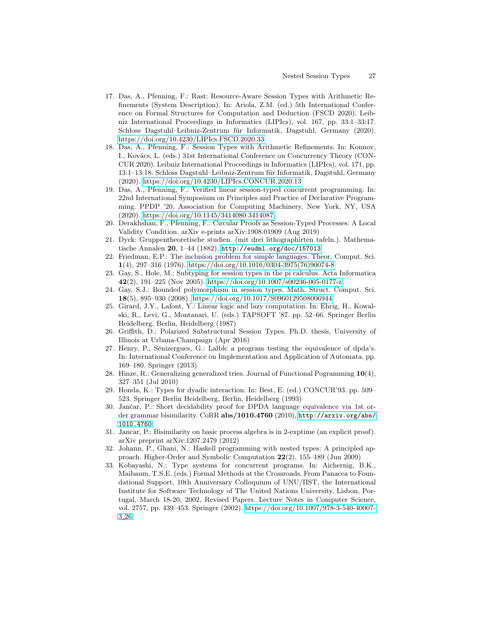- <span id="page-26-1"></span>17. Das, A., Pfenning, F.: Rast: Resource-Aware Session Types with Arithmetic Refinements (System Description). In: Ariola, Z.M. (ed.) 5th International Conference on Formal Structures for Computation and Deduction (FSCD 2020). Leibniz International Proceedings in Informatics (LIPIcs), vol. 167, pp. 33:1–33:17. Schloss Dagstuhl–Leibniz-Zentrum für Informatik, Dagstuhl, Germany (2020). <https://doi.org/10.4230/LIPIcs.FSCD.2020.33>
- <span id="page-26-8"></span>18. Das, A., Pfenning, F.: Session Types with Arithmetic Refinements. In: Konnov, I., Kovács, L. (eds.) 31st International Conference on Concurrency Theory (CON-CUR 2020). Leibniz International Proceedings in Informatics (LIPIcs), vol. 171, pp. 13:1–13:18. Schloss Dagstuhl–Leibniz-Zentrum für Informatik, Dagstuhl, Germany (2020).<https://doi.org/10.4230/LIPIcs.CONCUR.2020.13>
- <span id="page-26-9"></span>19. Das, A., Pfenning, F.: Verified linear session-typed concurrent programming. In: 22nd International Symposium on Principles and Practice of Declarative Programming. PPDP '20, Association for Computing Machinery, New York, NY, USA (2020).<https://doi.org/10.1145/3414080.3414087>
- <span id="page-26-12"></span>20. Derakhshan, F., Pfenning, F.: Circular Proofs as Session-Typed Processes: A Local Validity Condition. arXiv e-prints arXiv:1908.01909 (Aug 2019)
- <span id="page-26-10"></span>21. Dyck: Gruppentheoretische studien. (mit drei lithographirten tafeln.). Mathematische Annalen 20, 1–44 (1882), <http://eudml.org/doc/157013>
- <span id="page-26-16"></span>22. Friedman, E.P.: The inclusion problem for simple languages. Theor. Comput. Sci. 1(4), 297–316 (1976). [https://doi.org/10.1016/0304-3975\(76\)90074-8](https://doi.org/10.1016/0304-3975(76)90074-8)
- <span id="page-26-7"></span>23. Gay, S., Hole, M.: Subtyping for session types in the pi calculus. Acta Informatica 42(2), 191–225 (Nov 2005).<https://doi.org/10.1007/s00236-005-0177-z>
- <span id="page-26-3"></span>24. Gay, S.J.: Bounded polymorphism in session types. Math. Struct. Comput. Sci. 18(5), 895–930 (2008).<https://doi.org/10.1017/S0960129508006944>
- <span id="page-26-11"></span>25. Girard, J.Y., Lafont, Y.: Linear logic and lazy computation. In: Ehrig, H., Kowalski, R., Levi, G., Montanari, U. (eds.) TAPSOFT '87. pp. 52–66. Springer Berlin Heidelberg, Berlin, Heidelberg (1987)
- <span id="page-26-2"></span>26. Griffith, D.: Polarized Substructural Session Types. Ph.D. thesis, University of Illinois at Urbana-Champaign (Apr 2016)
- <span id="page-26-15"></span>27. Henry, P., Sénizergues, G.: Lalblc a program testing the equivalence of dpda's. In: International Conference on Implementation and Application of Automata. pp. 169–180. Springer (2013)
- <span id="page-26-5"></span>28. Hinze, R.: Generalizing generalized tries. Journal of Functional Pogramming  $10(4)$ , 327–351 (Jul 2010)
- <span id="page-26-0"></span>29. Honda, K.: Types for dyadic interaction. In: Best, E. (ed.) CONCUR'93. pp. 509– 523. Springer Berlin Heidelberg, Berlin, Heidelberg (1993)
- <span id="page-26-13"></span>30. Janˇcar, P.: Short decidability proof for DPDA language equivalence via 1st order grammar bisimilarity. CoRR abs/1010.4760 (2010), [http://arxiv.org/abs/](http://arxiv.org/abs/1010.4760) [1010.4760](http://arxiv.org/abs/1010.4760)
- <span id="page-26-6"></span>31. Jancar, P.: Bisimilarity on basic process algebra is in 2-exptime (an explicit proof). arXiv preprint arXiv:1207.2479 (2012)
- <span id="page-26-4"></span>32. Johann, P., Ghani, N.: Haskell programming with nested types: A principled approach. Higher-Order and Symbolic Computation 22(2), 155–189 (Jun 2009)
- <span id="page-26-14"></span>33. Kobayashi, N.: Type systems for concurrent programs. In: Aichernig, B.K., Maibaum, T.S.E. (eds.) Formal Methods at the Crossroads. From Panacea to Foundational Support, 10th Anniversary Colloquium of UNU/IIST, the International Institute for Software Technology of The United Nations University, Lisbon, Portugal, March 18-20, 2002, Revised Papers. Lecture Notes in Computer Science, vol. 2757, pp. 439–453. Springer (2002). [https://doi.org/10.1007/978-3-540-40007-](https://doi.org/10.1007/978-3-540-40007-3_26) 3 [26](https://doi.org/10.1007/978-3-540-40007-3_26)